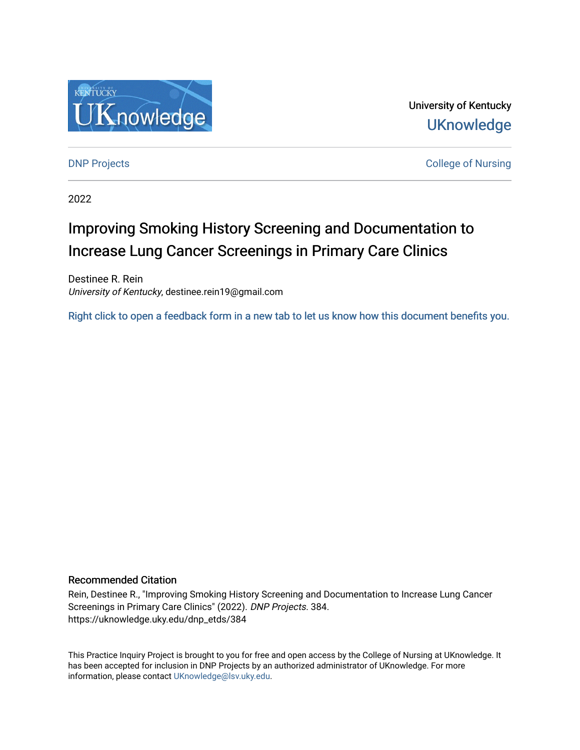

University of Kentucky **UKnowledge** 

**DNP Projects** College of Nursing

2022

# Improving Smoking History Screening and Documentation to Increase Lung Cancer Screenings in Primary Care Clinics

Destinee R. Rein University of Kentucky, destinee.rein19@gmail.com

[Right click to open a feedback form in a new tab to let us know how this document benefits you.](https://uky.az1.qualtrics.com/jfe/form/SV_9mq8fx2GnONRfz7)

### Recommended Citation

Rein, Destinee R., "Improving Smoking History Screening and Documentation to Increase Lung Cancer Screenings in Primary Care Clinics" (2022). DNP Projects. 384. https://uknowledge.uky.edu/dnp\_etds/384

This Practice Inquiry Project is brought to you for free and open access by the College of Nursing at UKnowledge. It has been accepted for inclusion in DNP Projects by an authorized administrator of UKnowledge. For more information, please contact [UKnowledge@lsv.uky.edu](mailto:UKnowledge@lsv.uky.edu).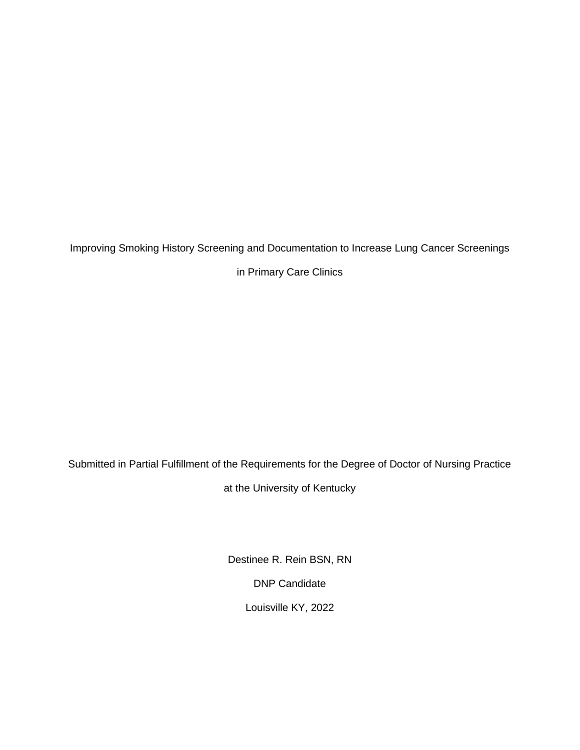Improving Smoking History Screening and Documentation to Increase Lung Cancer Screenings

in Primary Care Clinics

Submitted in Partial Fulfillment of the Requirements for the Degree of Doctor of Nursing Practice

at the University of Kentucky

Destinee R. Rein BSN, RN DNP Candidate Louisville KY, 2022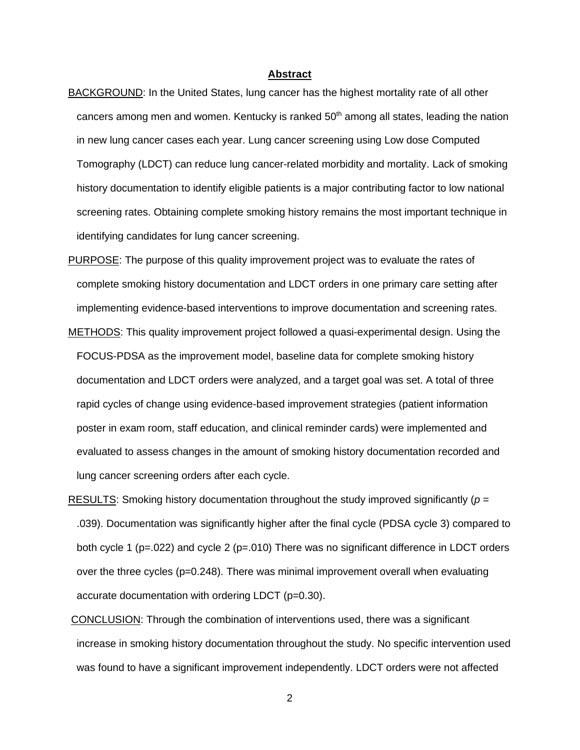#### **Abstract**

- <span id="page-2-0"></span>BACKGROUND: In the United States, lung cancer has the highest mortality rate of all other cancers among men and women. Kentucky is ranked 50<sup>th</sup> among all states, leading the nation in new lung cancer cases each year. Lung cancer screening using Low dose Computed Tomography (LDCT) can reduce lung cancer-related morbidity and mortality. Lack of smoking history documentation to identify eligible patients is a major contributing factor to low national screening rates. Obtaining complete smoking history remains the most important technique in identifying candidates for lung cancer screening.
- PURPOSE: The purpose of this quality improvement project was to evaluate the rates of complete smoking history documentation and LDCT orders in one primary care setting after implementing evidence-based interventions to improve documentation and screening rates.
- METHODS: This quality improvement project followed a quasi-experimental design. Using the FOCUS-PDSA as the improvement model, baseline data for complete smoking history documentation and LDCT orders were analyzed, and a target goal was set. A total of three rapid cycles of change using evidence-based improvement strategies (patient information poster in exam room, staff education, and clinical reminder cards) were implemented and evaluated to assess changes in the amount of smoking history documentation recorded and lung cancer screening orders after each cycle.
- RESULTS: Smoking history documentation throughout the study improved significantly (*p* = .039). Documentation was significantly higher after the final cycle (PDSA cycle 3) compared to both cycle 1 ( $p=.022$ ) and cycle 2 ( $p=.010$ ) There was no significant difference in LDCT orders over the three cycles (p=0.248). There was minimal improvement overall when evaluating accurate documentation with ordering LDCT (p=0.30).
- CONCLUSION: Through the combination of interventions used, there was a significant increase in smoking history documentation throughout the study. No specific intervention used was found to have a significant improvement independently. LDCT orders were not affected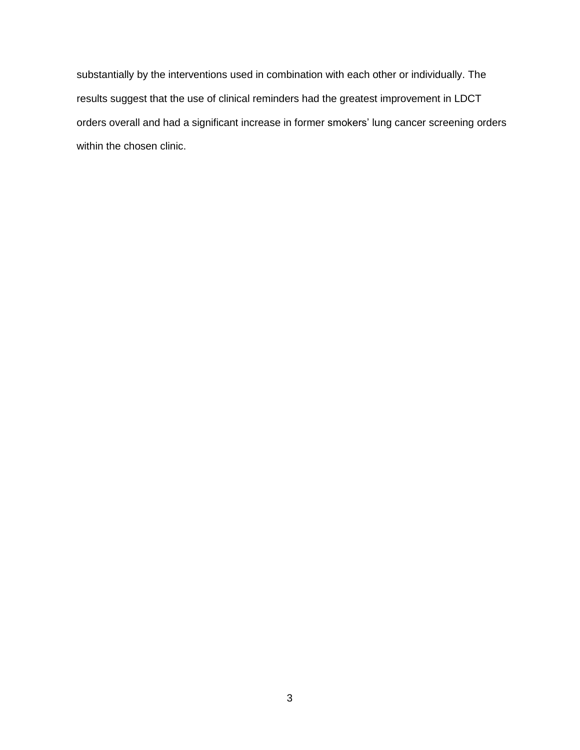substantially by the interventions used in combination with each other or individually. The results suggest that the use of clinical reminders had the greatest improvement in LDCT orders overall and had a significant increase in former smokers' lung cancer screening orders within the chosen clinic.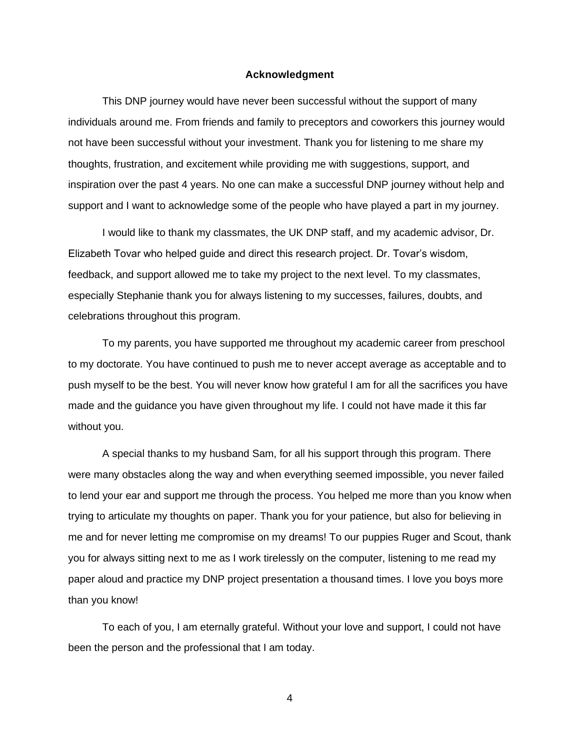#### **Acknowledgment**

<span id="page-4-0"></span>This DNP journey would have never been successful without the support of many individuals around me. From friends and family to preceptors and coworkers this journey would not have been successful without your investment. Thank you for listening to me share my thoughts, frustration, and excitement while providing me with suggestions, support, and inspiration over the past 4 years. No one can make a successful DNP journey without help and support and I want to acknowledge some of the people who have played a part in my journey.

I would like to thank my classmates, the UK DNP staff, and my academic advisor, Dr. Elizabeth Tovar who helped guide and direct this research project. Dr. Tovar's wisdom, feedback, and support allowed me to take my project to the next level. To my classmates, especially Stephanie thank you for always listening to my successes, failures, doubts, and celebrations throughout this program.

To my parents, you have supported me throughout my academic career from preschool to my doctorate. You have continued to push me to never accept average as acceptable and to push myself to be the best. You will never know how grateful I am for all the sacrifices you have made and the guidance you have given throughout my life. I could not have made it this far without you.

A special thanks to my husband Sam, for all his support through this program. There were many obstacles along the way and when everything seemed impossible, you never failed to lend your ear and support me through the process. You helped me more than you know when trying to articulate my thoughts on paper. Thank you for your patience, but also for believing in me and for never letting me compromise on my dreams! To our puppies Ruger and Scout, thank you for always sitting next to me as I work tirelessly on the computer, listening to me read my paper aloud and practice my DNP project presentation a thousand times. I love you boys more than you know!

To each of you, I am eternally grateful. Without your love and support, I could not have been the person and the professional that I am today.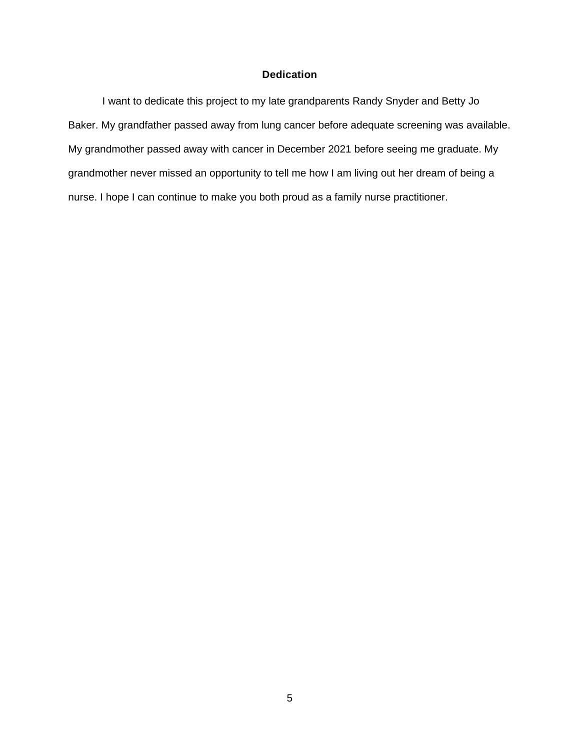# **Dedication**

<span id="page-5-0"></span>I want to dedicate this project to my late grandparents Randy Snyder and Betty Jo Baker. My grandfather passed away from lung cancer before adequate screening was available. My grandmother passed away with cancer in December 2021 before seeing me graduate. My grandmother never missed an opportunity to tell me how I am living out her dream of being a nurse. I hope I can continue to make you both proud as a family nurse practitioner.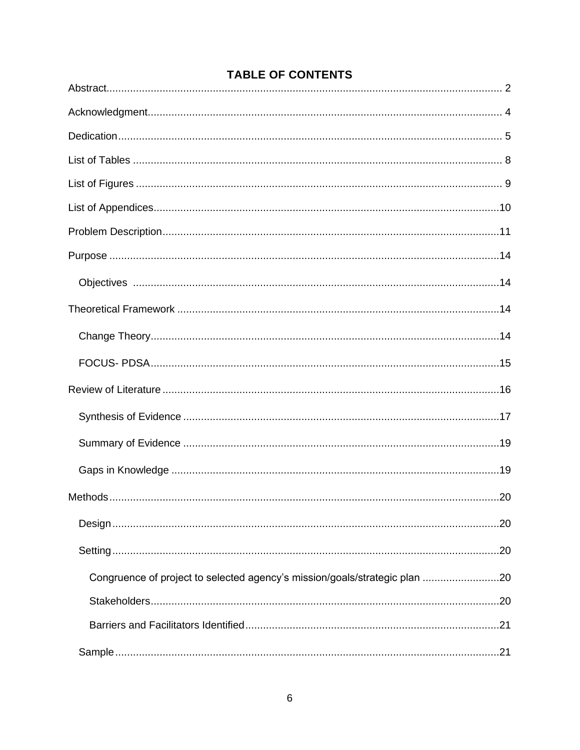| .20                                                                        |
|----------------------------------------------------------------------------|
| Congruence of project to selected agency's mission/goals/strategic plan 20 |
|                                                                            |
|                                                                            |
|                                                                            |

# **TABLE OF CONTENTS**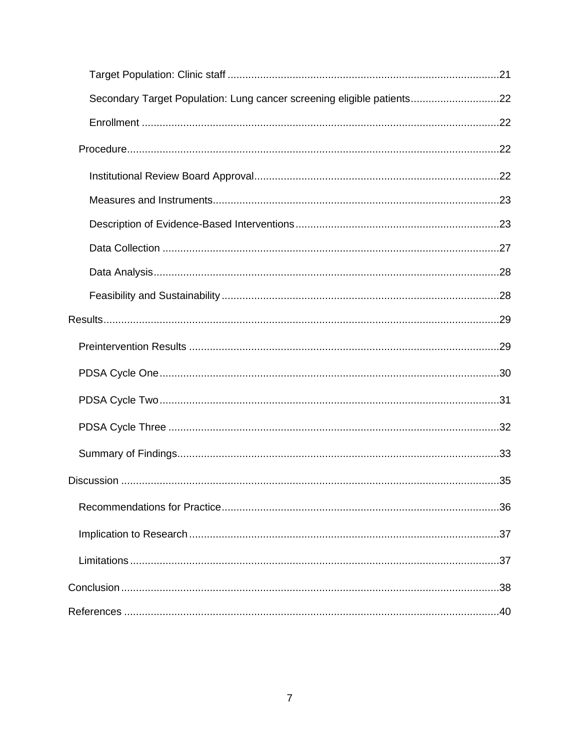| Secondary Target Population: Lung cancer screening eligible patients22 |
|------------------------------------------------------------------------|
|                                                                        |
|                                                                        |
|                                                                        |
|                                                                        |
|                                                                        |
|                                                                        |
|                                                                        |
|                                                                        |
|                                                                        |
|                                                                        |
|                                                                        |
|                                                                        |
|                                                                        |
|                                                                        |
|                                                                        |
|                                                                        |
|                                                                        |
|                                                                        |
|                                                                        |
|                                                                        |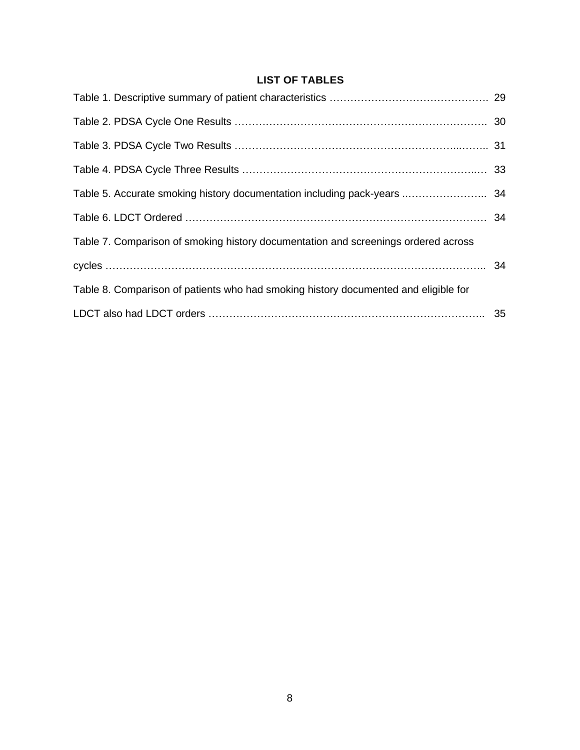# **LIST OF TABLES**

<span id="page-8-0"></span>

| Table 5. Accurate smoking history documentation including pack-years  34            |  |
|-------------------------------------------------------------------------------------|--|
|                                                                                     |  |
| Table 7. Comparison of smoking history documentation and screenings ordered across  |  |
|                                                                                     |  |
| Table 8. Comparison of patients who had smoking history documented and eligible for |  |
|                                                                                     |  |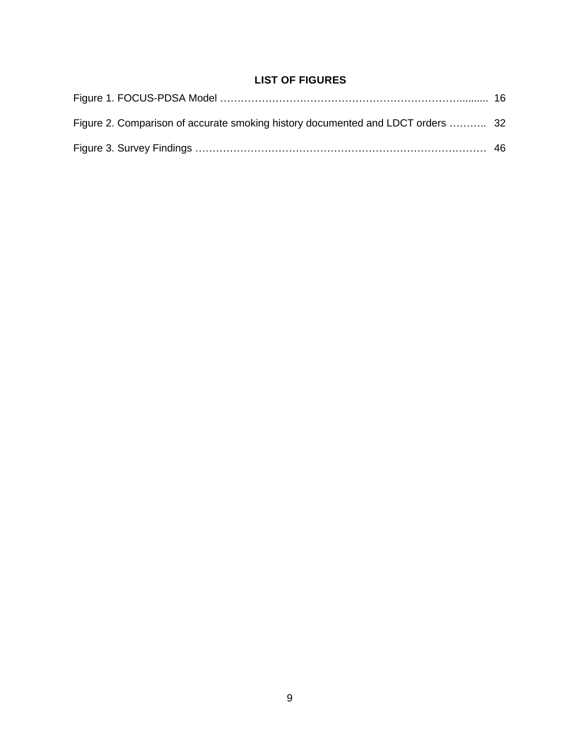# **LIST OF FIGURES**

<span id="page-9-0"></span>

| Figure 2. Comparison of accurate smoking history documented and LDCT orders  32 |  |
|---------------------------------------------------------------------------------|--|
|                                                                                 |  |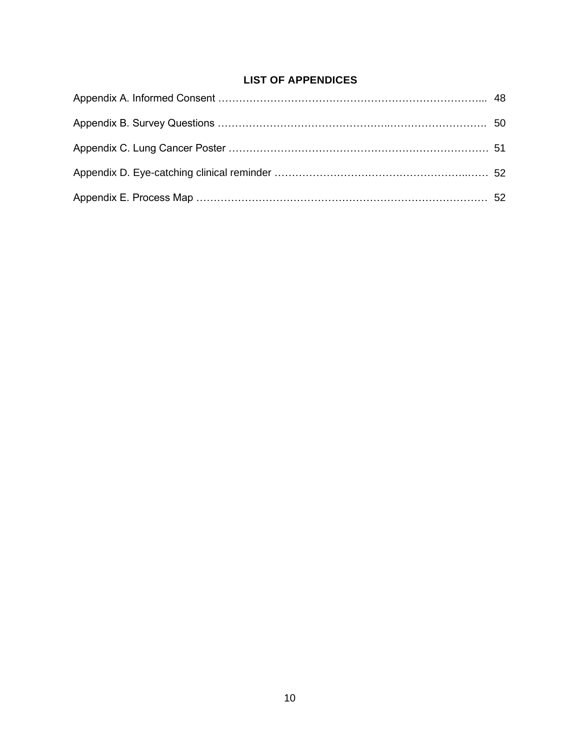# **LIST OF APPENDICES**

<span id="page-10-0"></span>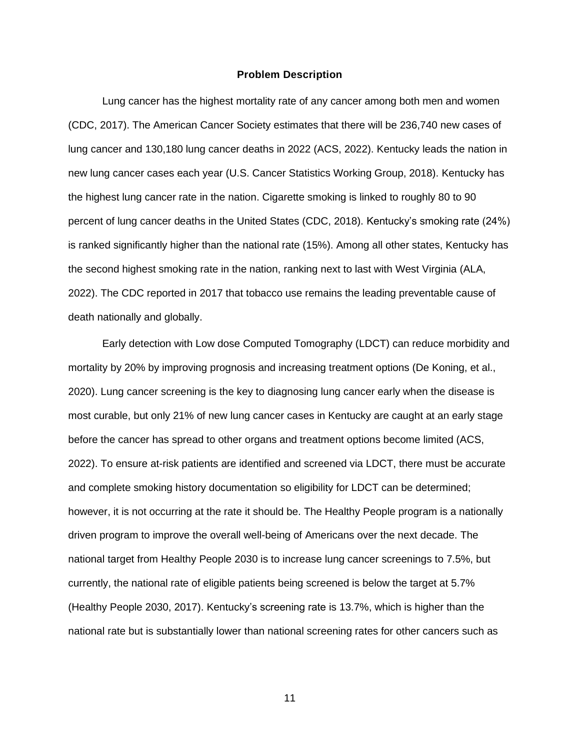#### **Problem Description**

<span id="page-11-0"></span>Lung cancer has the highest mortality rate of any cancer among both men and women (CDC, 2017). The American Cancer Society estimates that there will be 236,740 new cases of lung cancer and 130,180 lung cancer deaths in 2022 (ACS, 2022). Kentucky leads the nation in new lung cancer cases each year (U.S. Cancer Statistics Working Group, 2018). Kentucky has the highest lung cancer rate in the nation. Cigarette smoking is linked to roughly 80 to 90 percent of lung cancer deaths in the United States (CDC, 2018). Kentucky's smoking rate (24%) is ranked significantly higher than the national rate (15%). Among all other states, Kentucky has the second highest smoking rate in the nation, ranking next to last with West Virginia (ALA, 2022). The CDC reported in 2017 that tobacco use remains the leading preventable cause of death nationally and globally.

Early detection with Low dose Computed Tomography (LDCT) can reduce morbidity and mortality by 20% by improving prognosis and increasing treatment options (De Koning, et al., 2020). Lung cancer screening is the key to diagnosing lung cancer early when the disease is most curable, but only 21% of new lung cancer cases in Kentucky are caught at an early stage before the cancer has spread to other organs and treatment options become limited (ACS, 2022). To ensure at-risk patients are identified and screened via LDCT, there must be accurate and complete smoking history documentation so eligibility for LDCT can be determined; however, it is not occurring at the rate it should be. The Healthy People program is a nationally driven program to improve the overall well-being of Americans over the next decade. The national target from Healthy People 2030 is to increase lung cancer screenings to 7.5%, but currently, the national rate of eligible patients being screened is below the target at 5.7% (Healthy People 2030, 2017). Kentucky's screening rate is 13.7%, which is higher than the national rate but is substantially lower than national screening rates for other cancers such as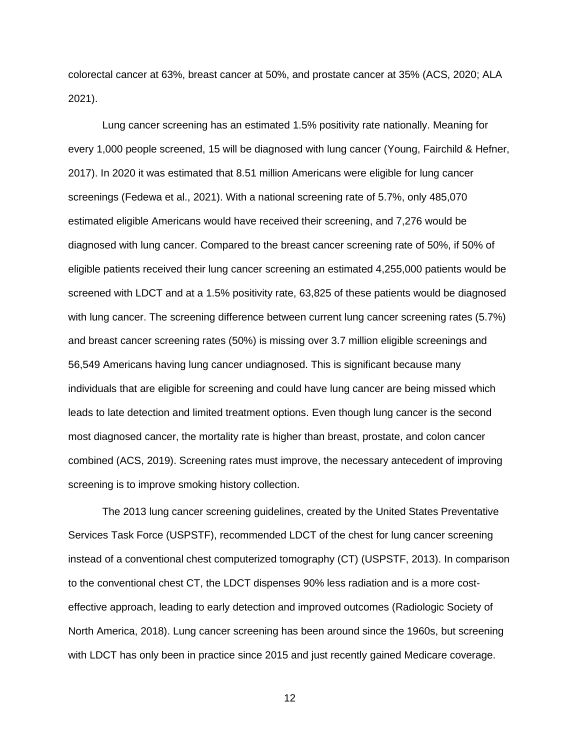colorectal cancer at 63%, breast cancer at 50%, and prostate cancer at 35% (ACS, 2020; ALA 2021).

Lung cancer screening has an estimated 1.5% positivity rate nationally. Meaning for every 1,000 people screened, 15 will be diagnosed with lung cancer (Young, Fairchild & Hefner, 2017). In 2020 it was estimated that 8.51 million Americans were eligible for lung cancer screenings (Fedewa et al., 2021). With a national screening rate of 5.7%, only 485,070 estimated eligible Americans would have received their screening, and 7,276 would be diagnosed with lung cancer. Compared to the breast cancer screening rate of 50%, if 50% of eligible patients received their lung cancer screening an estimated 4,255,000 patients would be screened with LDCT and at a 1.5% positivity rate, 63,825 of these patients would be diagnosed with lung cancer. The screening difference between current lung cancer screening rates (5.7%) and breast cancer screening rates (50%) is missing over 3.7 million eligible screenings and 56,549 Americans having lung cancer undiagnosed. This is significant because many individuals that are eligible for screening and could have lung cancer are being missed which leads to late detection and limited treatment options. Even though lung cancer is the second most diagnosed cancer, the mortality rate is higher than breast, prostate, and colon cancer combined (ACS, 2019). Screening rates must improve, the necessary antecedent of improving screening is to improve smoking history collection.

The 2013 lung cancer screening guidelines, created by the United States Preventative Services Task Force (USPSTF), recommended LDCT of the chest for lung cancer screening instead of a conventional chest computerized tomography (CT) (USPSTF, 2013). In comparison to the conventional chest CT, the LDCT dispenses 90% less radiation and is a more costeffective approach, leading to early detection and improved outcomes (Radiologic Society of North America, 2018). Lung cancer screening has been around since the 1960s, but screening with LDCT has only been in practice since 2015 and just recently gained Medicare coverage.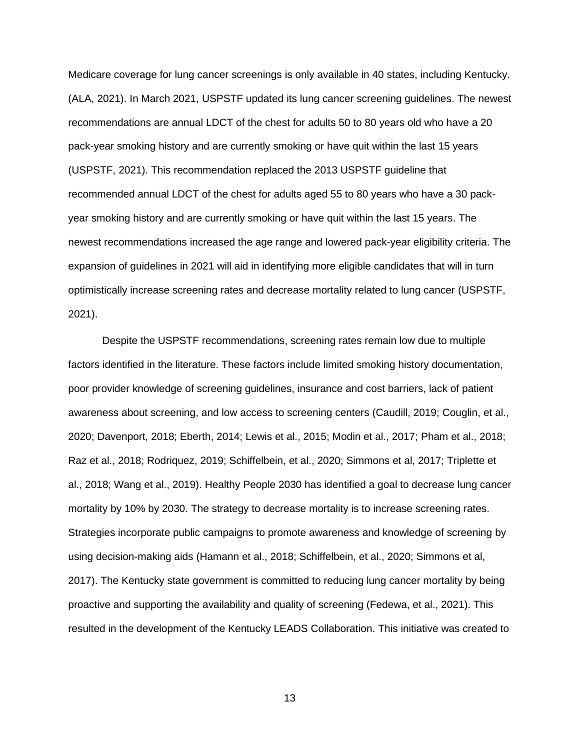Medicare coverage for lung cancer screenings is only available in 40 states, including Kentucky. (ALA, 2021). In March 2021, USPSTF updated its lung cancer screening guidelines. The newest recommendations are annual LDCT of the chest for adults 50 to 80 years old who have a 20 pack-year smoking history and are currently smoking or have quit within the last 15 years (USPSTF, 2021). This recommendation replaced the 2013 USPSTF guideline that recommended annual LDCT of the chest for adults aged 55 to 80 years who have a 30 packyear smoking history and are currently smoking or have quit within the last 15 years. The newest recommendations increased the age range and lowered pack-year eligibility criteria. The expansion of guidelines in 2021 will aid in identifying more eligible candidates that will in turn optimistically increase screening rates and decrease mortality related to lung cancer (USPSTF, 2021).

Despite the USPSTF recommendations, screening rates remain low due to multiple factors identified in the literature. These factors include limited smoking history documentation, poor provider knowledge of screening guidelines, insurance and cost barriers, lack of patient awareness about screening, and low access to screening centers (Caudill, 2019; Couglin, et al., 2020; Davenport, 2018; Eberth, 2014; Lewis et al., 2015; Modin et al., 2017; Pham et al., 2018; Raz et al., 2018; Rodriquez, 2019; Schiffelbein, et al., 2020; Simmons et al, 2017; Triplette et al., 2018; Wang et al., 2019). Healthy People 2030 has identified a goal to decrease lung cancer mortality by 10% by 2030. The strategy to decrease mortality is to increase screening rates. Strategies incorporate public campaigns to promote awareness and knowledge of screening by using decision-making aids (Hamann et al., 2018; Schiffelbein, et al., 2020; Simmons et al, 2017). The Kentucky state government is committed to reducing lung cancer mortality by being proactive and supporting the availability and quality of screening (Fedewa, et al., 2021). This resulted in the development of the Kentucky LEADS Collaboration. This initiative was created to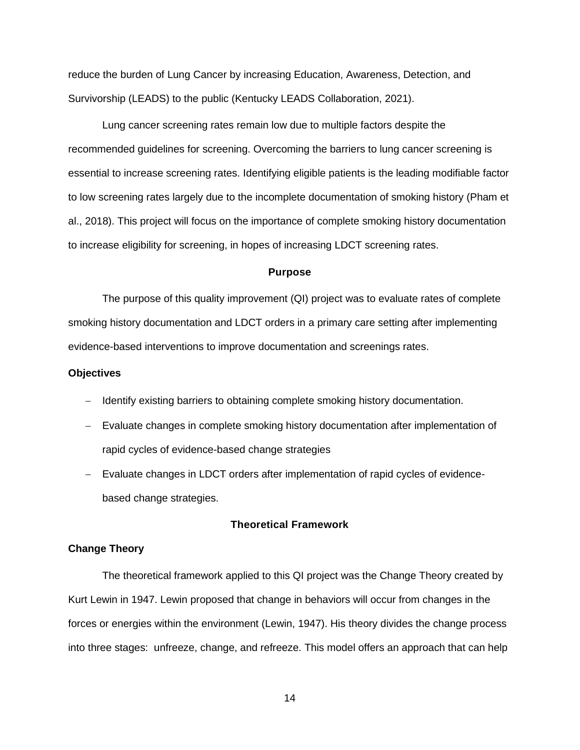reduce the burden of Lung Cancer by increasing Education, Awareness, Detection, and Survivorship (LEADS) to the public (Kentucky LEADS Collaboration, 2021).

Lung cancer screening rates remain low due to multiple factors despite the recommended guidelines for screening. Overcoming the barriers to lung cancer screening is essential to increase screening rates. Identifying eligible patients is the leading modifiable factor to low screening rates largely due to the incomplete documentation of smoking history (Pham et al., 2018). This project will focus on the importance of complete smoking history documentation to increase eligibility for screening, in hopes of increasing LDCT screening rates.

#### **Purpose**

<span id="page-14-0"></span>The purpose of this quality improvement (QI) project was to evaluate rates of complete smoking history documentation and LDCT orders in a primary care setting after implementing evidence-based interventions to improve documentation and screenings rates.

#### <span id="page-14-1"></span>**Objectives**

- − Identify existing barriers to obtaining complete smoking history documentation.
- − Evaluate changes in complete smoking history documentation after implementation of rapid cycles of evidence-based change strategies
- − Evaluate changes in LDCT orders after implementation of rapid cycles of evidencebased change strategies.

#### **Theoretical Framework**

#### <span id="page-14-3"></span><span id="page-14-2"></span>**Change Theory**

The theoretical framework applied to this QI project was the Change Theory created by Kurt Lewin in 1947. Lewin proposed that change in behaviors will occur from changes in the forces or energies within the environment (Lewin, 1947). His theory divides the change process into three stages: unfreeze, change, and refreeze. This model offers an approach that can help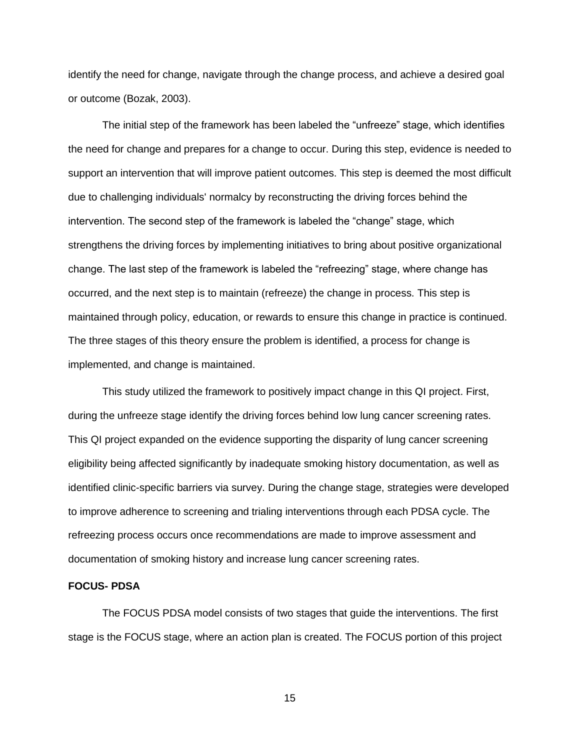identify the need for change, navigate through the change process, and achieve a desired goal or outcome (Bozak, 2003).

The initial step of the framework has been labeled the "unfreeze" stage, which identifies the need for change and prepares for a change to occur. During this step, evidence is needed to support an intervention that will improve patient outcomes. This step is deemed the most difficult due to challenging individuals' normalcy by reconstructing the driving forces behind the intervention. The second step of the framework is labeled the "change" stage, which strengthens the driving forces by implementing initiatives to bring about positive organizational change. The last step of the framework is labeled the "refreezing" stage, where change has occurred, and the next step is to maintain (refreeze) the change in process. This step is maintained through policy, education, or rewards to ensure this change in practice is continued. The three stages of this theory ensure the problem is identified, a process for change is implemented, and change is maintained.

This study utilized the framework to positively impact change in this QI project. First, during the unfreeze stage identify the driving forces behind low lung cancer screening rates. This QI project expanded on the evidence supporting the disparity of lung cancer screening eligibility being affected significantly by inadequate smoking history documentation, as well as identified clinic-specific barriers via survey. During the change stage, strategies were developed to improve adherence to screening and trialing interventions through each PDSA cycle. The refreezing process occurs once recommendations are made to improve assessment and documentation of smoking history and increase lung cancer screening rates.

#### <span id="page-15-0"></span>**FOCUS- PDSA**

The FOCUS PDSA model consists of two stages that guide the interventions. The first stage is the FOCUS stage, where an action plan is created. The FOCUS portion of this project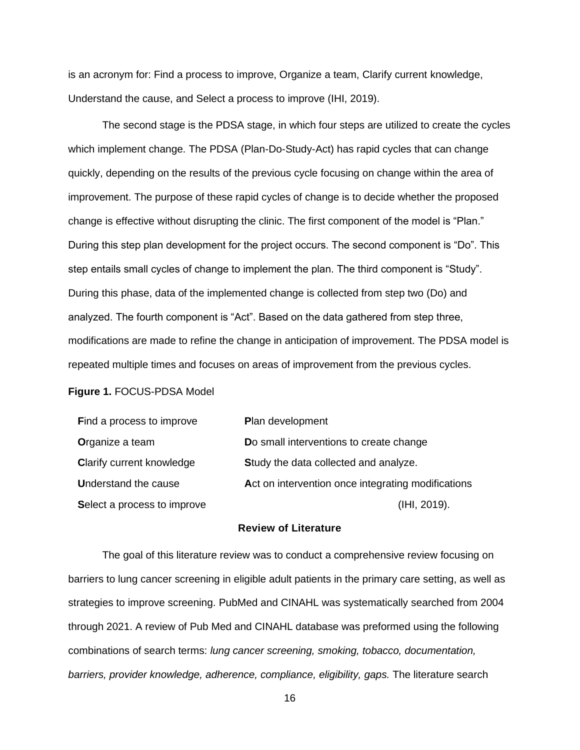is an acronym for: Find a process to improve, Organize a team, Clarify current knowledge, Understand the cause, and Select a process to improve (IHI, 2019).

The second stage is the PDSA stage, in which four steps are utilized to create the cycles which implement change. The PDSA (Plan-Do-Study-Act) has rapid cycles that can change quickly, depending on the results of the previous cycle focusing on change within the area of improvement. The purpose of these rapid cycles of change is to decide whether the proposed change is effective without disrupting the clinic. The first component of the model is "Plan." During this step plan development for the project occurs. The second component is "Do". This step entails small cycles of change to implement the plan. The third component is "Study". During this phase, data of the implemented change is collected from step two (Do) and analyzed. The fourth component is "Act". Based on the data gathered from step three, modifications are made to refine the change in anticipation of improvement. The PDSA model is repeated multiple times and focuses on areas of improvement from the previous cycles.

#### **Figure 1.** FOCUS-PDSA Model

| Find a process to improve        | Plan development                                   |
|----------------------------------|----------------------------------------------------|
| Organize a team                  | Do small interventions to create change            |
| <b>Clarify current knowledge</b> | Study the data collected and analyze.              |
| <b>Understand the cause</b>      | Act on intervention once integrating modifications |
| Select a process to improve      | (IHI, 2019).                                       |

### **Review of Literature**

<span id="page-16-0"></span>The goal of this literature review was to conduct a comprehensive review focusing on barriers to lung cancer screening in eligible adult patients in the primary care setting, as well as strategies to improve screening. PubMed and CINAHL was systematically searched from 2004 through 2021. A review of Pub Med and CINAHL database was preformed using the following combinations of search terms: *lung cancer screening, smoking, tobacco, documentation,*  barriers, provider knowledge, adherence, compliance, eligibility, gaps. The literature search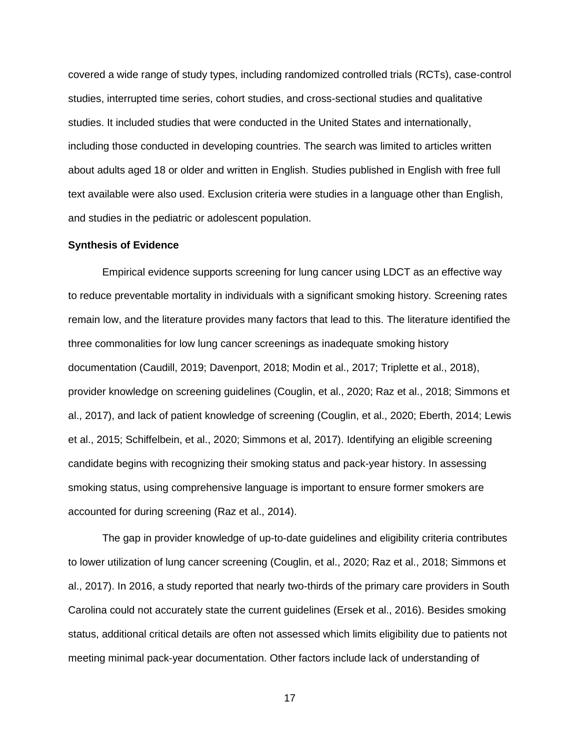covered a wide range of study types, including randomized controlled trials (RCTs), case-control studies, interrupted time series, cohort studies, and cross-sectional studies and qualitative studies. It included studies that were conducted in the United States and internationally, including those conducted in developing countries. The search was limited to articles written about adults aged 18 or older and written in English. Studies published in English with free full text available were also used. Exclusion criteria were studies in a language other than English, and studies in the pediatric or adolescent population.

#### <span id="page-17-0"></span>**Synthesis of Evidence**

Empirical evidence supports screening for lung cancer using LDCT as an effective way to reduce preventable mortality in individuals with a significant smoking history. Screening rates remain low, and the literature provides many factors that lead to this. The literature identified the three commonalities for low lung cancer screenings as inadequate smoking history documentation (Caudill, 2019; Davenport, 2018; Modin et al., 2017; Triplette et al., 2018), provider knowledge on screening guidelines (Couglin, et al., 2020; Raz et al., 2018; Simmons et al., 2017), and lack of patient knowledge of screening (Couglin, et al., 2020; Eberth, 2014; Lewis et al., 2015; Schiffelbein, et al., 2020; Simmons et al, 2017). Identifying an eligible screening candidate begins with recognizing their smoking status and pack-year history. In assessing smoking status, using comprehensive language is important to ensure former smokers are accounted for during screening (Raz et al., 2014).

The gap in provider knowledge of up-to-date guidelines and eligibility criteria contributes to lower utilization of lung cancer screening (Couglin, et al., 2020; Raz et al., 2018; Simmons et al., 2017). In 2016, a study reported that nearly two-thirds of the primary care providers in South Carolina could not accurately state the current guidelines (Ersek et al., 2016). Besides smoking status, additional critical details are often not assessed which limits eligibility due to patients not meeting minimal pack-year documentation. Other factors include lack of understanding of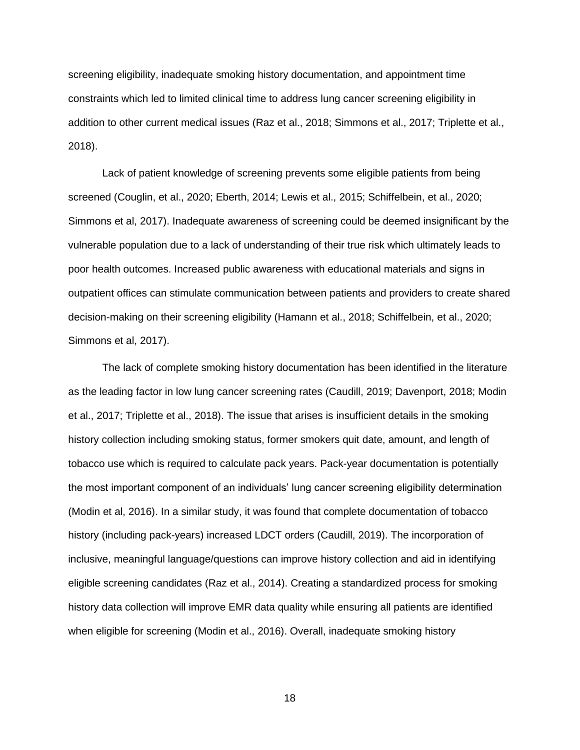screening eligibility, inadequate smoking history documentation, and appointment time constraints which led to limited clinical time to address lung cancer screening eligibility in addition to other current medical issues (Raz et al., 2018; Simmons et al., 2017; Triplette et al., 2018).

Lack of patient knowledge of screening prevents some eligible patients from being screened (Couglin, et al., 2020; Eberth, 2014; Lewis et al., 2015; Schiffelbein, et al., 2020; Simmons et al, 2017). Inadequate awareness of screening could be deemed insignificant by the vulnerable population due to a lack of understanding of their true risk which ultimately leads to poor health outcomes. Increased public awareness with educational materials and signs in outpatient offices can stimulate communication between patients and providers to create shared decision-making on their screening eligibility (Hamann et al., 2018; Schiffelbein, et al., 2020; Simmons et al, 2017).

The lack of complete smoking history documentation has been identified in the literature as the leading factor in low lung cancer screening rates (Caudill, 2019; Davenport, 2018; Modin et al., 2017; Triplette et al., 2018). The issue that arises is insufficient details in the smoking history collection including smoking status, former smokers quit date, amount, and length of tobacco use which is required to calculate pack years. Pack-year documentation is potentially the most important component of an individuals' lung cancer screening eligibility determination (Modin et al, 2016). In a similar study, it was found that complete documentation of tobacco history (including pack-years) increased LDCT orders (Caudill, 2019). The incorporation of inclusive, meaningful language/questions can improve history collection and aid in identifying eligible screening candidates (Raz et al., 2014). Creating a standardized process for smoking history data collection will improve EMR data quality while ensuring all patients are identified when eligible for screening (Modin et al., 2016). Overall, inadequate smoking history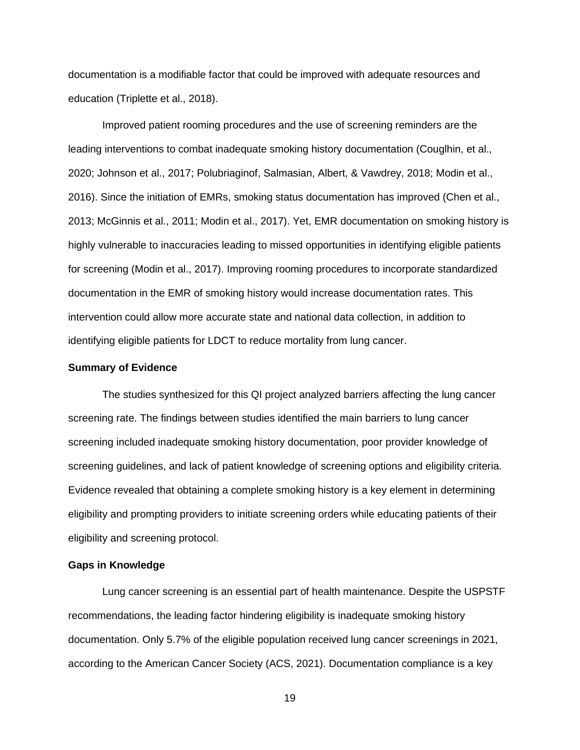documentation is a modifiable factor that could be improved with adequate resources and education (Triplette et al., 2018).

Improved patient rooming procedures and the use of screening reminders are the leading interventions to combat inadequate smoking history documentation (Couglhin, et al., 2020; Johnson et al., 2017; Polubriaginof, Salmasian, Albert, & Vawdrey, 2018; Modin et al., 2016). Since the initiation of EMRs, smoking status documentation has improved (Chen et al., 2013; McGinnis et al., 2011; Modin et al., 2017). Yet, EMR documentation on smoking history is highly vulnerable to inaccuracies leading to missed opportunities in identifying eligible patients for screening (Modin et al., 2017). Improving rooming procedures to incorporate standardized documentation in the EMR of smoking history would increase documentation rates. This intervention could allow more accurate state and national data collection, in addition to identifying eligible patients for LDCT to reduce mortality from lung cancer.

#### <span id="page-19-0"></span>**Summary of Evidence**

The studies synthesized for this QI project analyzed barriers affecting the lung cancer screening rate. The findings between studies identified the main barriers to lung cancer screening included inadequate smoking history documentation, poor provider knowledge of screening guidelines, and lack of patient knowledge of screening options and eligibility criteria. Evidence revealed that obtaining a complete smoking history is a key element in determining eligibility and prompting providers to initiate screening orders while educating patients of their eligibility and screening protocol.

#### <span id="page-19-1"></span>**Gaps in Knowledge**

Lung cancer screening is an essential part of health maintenance. Despite the USPSTF recommendations, the leading factor hindering eligibility is inadequate smoking history documentation. Only 5.7% of the eligible population received lung cancer screenings in 2021, according to the American Cancer Society (ACS, 2021). Documentation compliance is a key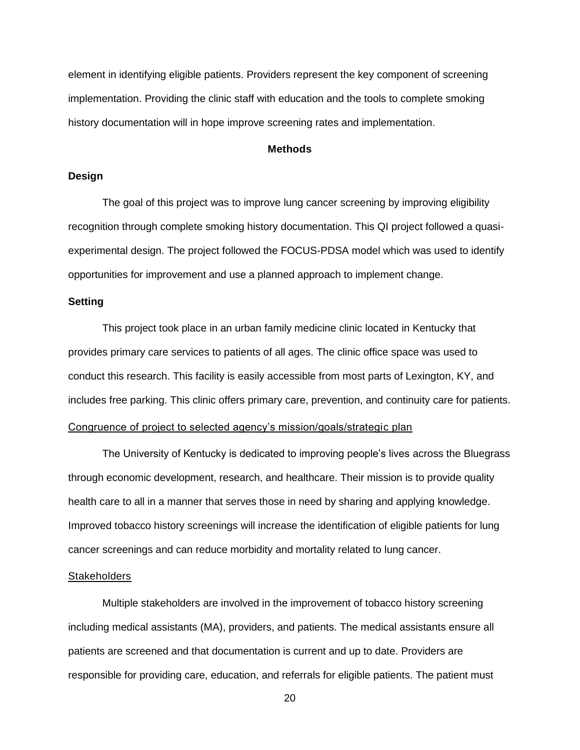element in identifying eligible patients. Providers represent the key component of screening implementation. Providing the clinic staff with education and the tools to complete smoking history documentation will in hope improve screening rates and implementation.

#### **Methods**

#### <span id="page-20-1"></span><span id="page-20-0"></span>**Design**

The goal of this project was to improve lung cancer screening by improving eligibility recognition through complete smoking history documentation. This QI project followed a quasiexperimental design. The project followed the FOCUS-PDSA model which was used to identify opportunities for improvement and use a planned approach to implement change.

#### <span id="page-20-2"></span>**Setting**

This project took place in an urban family medicine clinic located in Kentucky that provides primary care services to patients of all ages. The clinic office space was used to conduct this research. This facility is easily accessible from most parts of Lexington, KY, and includes free parking. This clinic offers primary care, prevention, and continuity care for patients.

# <span id="page-20-3"></span>Congruence of project to selected agency's mission/goals/strategic plan

The University of Kentucky is dedicated to improving people's lives across the Bluegrass through economic development, research, and healthcare. Their mission is to provide quality health care to all in a manner that serves those in need by sharing and applying knowledge. Improved tobacco history screenings will increase the identification of eligible patients for lung cancer screenings and can reduce morbidity and mortality related to lung cancer.

#### <span id="page-20-4"></span>**Stakeholders**

Multiple stakeholders are involved in the improvement of tobacco history screening including medical assistants (MA), providers, and patients. The medical assistants ensure all patients are screened and that documentation is current and up to date. Providers are responsible for providing care, education, and referrals for eligible patients. The patient must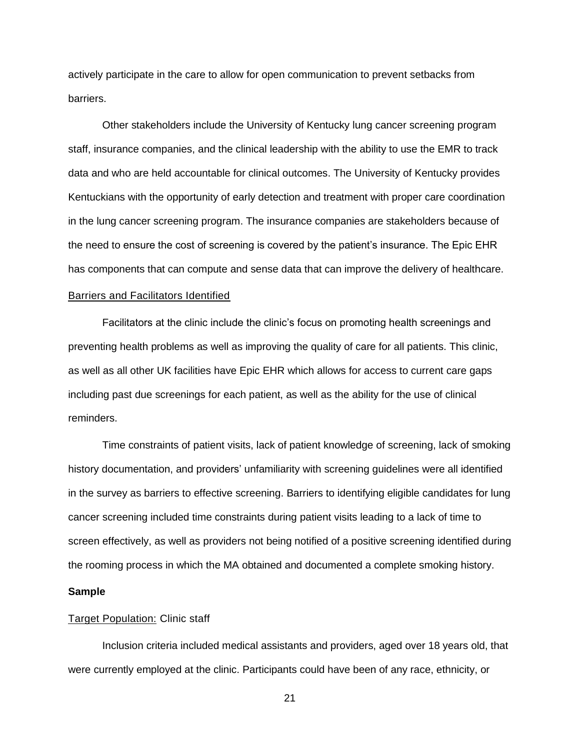actively participate in the care to allow for open communication to prevent setbacks from barriers.

Other stakeholders include the University of Kentucky lung cancer screening program staff, insurance companies, and the clinical leadership with the ability to use the EMR to track data and who are held accountable for clinical outcomes. The University of Kentucky provides Kentuckians with the opportunity of early detection and treatment with proper care coordination in the lung cancer screening program. The insurance companies are stakeholders because of the need to ensure the cost of screening is covered by the patient's insurance. The Epic EHR has components that can compute and sense data that can improve the delivery of healthcare.

# <span id="page-21-0"></span>Barriers and Facilitators Identified

Facilitators at the clinic include the clinic's focus on promoting health screenings and preventing health problems as well as improving the quality of care for all patients. This clinic, as well as all other UK facilities have Epic EHR which allows for access to current care gaps including past due screenings for each patient, as well as the ability for the use of clinical reminders.

Time constraints of patient visits, lack of patient knowledge of screening, lack of smoking history documentation, and providers' unfamiliarity with screening guidelines were all identified in the survey as barriers to effective screening. Barriers to identifying eligible candidates for lung cancer screening included time constraints during patient visits leading to a lack of time to screen effectively, as well as providers not being notified of a positive screening identified during the rooming process in which the MA obtained and documented a complete smoking history.

#### <span id="page-21-1"></span>**Sample**

#### <span id="page-21-2"></span>**Target Population: Clinic staff**

Inclusion criteria included medical assistants and providers, aged over 18 years old, that were currently employed at the clinic. Participants could have been of any race, ethnicity, or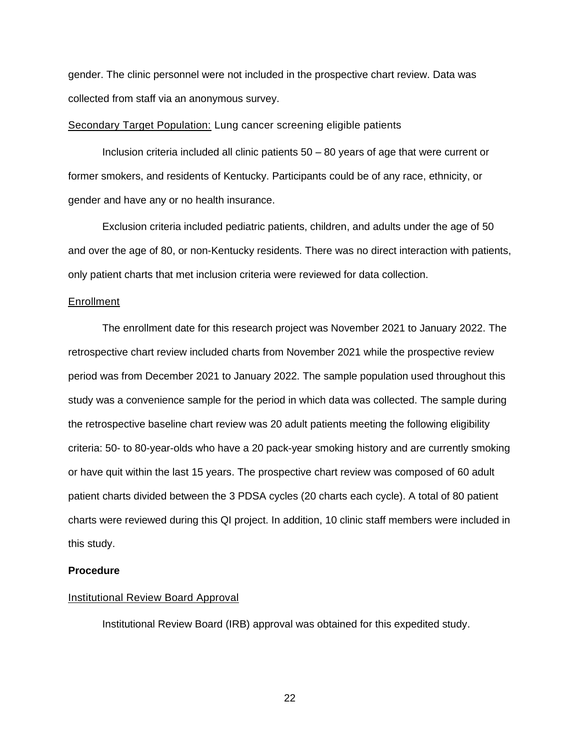gender. The clinic personnel were not included in the prospective chart review. Data was collected from staff via an anonymous survey.

#### <span id="page-22-0"></span>Secondary Target Population: Lung cancer screening eligible patients

Inclusion criteria included all clinic patients 50 – 80 years of age that were current or former smokers, and residents of Kentucky. Participants could be of any race, ethnicity, or gender and have any or no health insurance.

Exclusion criteria included pediatric patients, children, and adults under the age of 50 and over the age of 80, or non-Kentucky residents. There was no direct interaction with patients, only patient charts that met inclusion criteria were reviewed for data collection.

#### <span id="page-22-1"></span>Enrollment

The enrollment date for this research project was November 2021 to January 2022. The retrospective chart review included charts from November 2021 while the prospective review period was from December 2021 to January 2022. The sample population used throughout this study was a convenience sample for the period in which data was collected. The sample during the retrospective baseline chart review was 20 adult patients meeting the following eligibility criteria: 50- to 80-year-olds who have a 20 pack-year smoking history and are currently smoking or have quit within the last 15 years. The prospective chart review was composed of 60 adult patient charts divided between the 3 PDSA cycles (20 charts each cycle). A total of 80 patient charts were reviewed during this QI project. In addition, 10 clinic staff members were included in this study.

#### <span id="page-22-2"></span>**Procedure**

#### <span id="page-22-3"></span>Institutional Review Board Approval

Institutional Review Board (IRB) approval was obtained for this expedited study.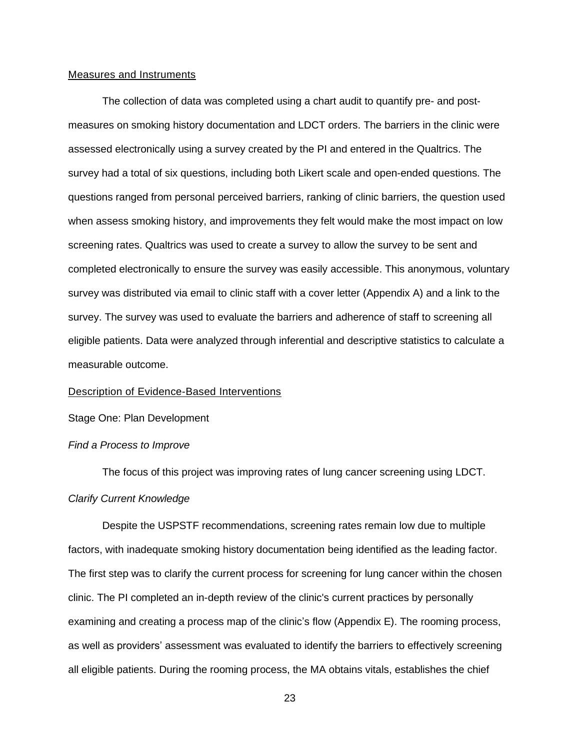#### <span id="page-23-0"></span>Measures and Instruments

The collection of data was completed using a chart audit to quantify pre- and postmeasures on smoking history documentation and LDCT orders. The barriers in the clinic were assessed electronically using a survey created by the PI and entered in the Qualtrics. The survey had a total of six questions, including both Likert scale and open-ended questions. The questions ranged from personal perceived barriers, ranking of clinic barriers, the question used when assess smoking history, and improvements they felt would make the most impact on low screening rates. Qualtrics was used to create a survey to allow the survey to be sent and completed electronically to ensure the survey was easily accessible. This anonymous, voluntary survey was distributed via email to clinic staff with a cover letter (Appendix A) and a link to the survey. The survey was used to evaluate the barriers and adherence of staff to screening all eligible patients. Data were analyzed through inferential and descriptive statistics to calculate a measurable outcome.

#### <span id="page-23-1"></span>Description of Evidence-Based Interventions

Stage One: Plan Development

## *Find a Process to Improve*

The focus of this project was improving rates of lung cancer screening using LDCT. *Clarify Current Knowledge*

Despite the USPSTF recommendations, screening rates remain low due to multiple factors, with inadequate smoking history documentation being identified as the leading factor. The first step was to clarify the current process for screening for lung cancer within the chosen clinic. The PI completed an in-depth review of the clinic's current practices by personally examining and creating a process map of the clinic's flow (Appendix E). The rooming process, as well as providers' assessment was evaluated to identify the barriers to effectively screening all eligible patients. During the rooming process, the MA obtains vitals, establishes the chief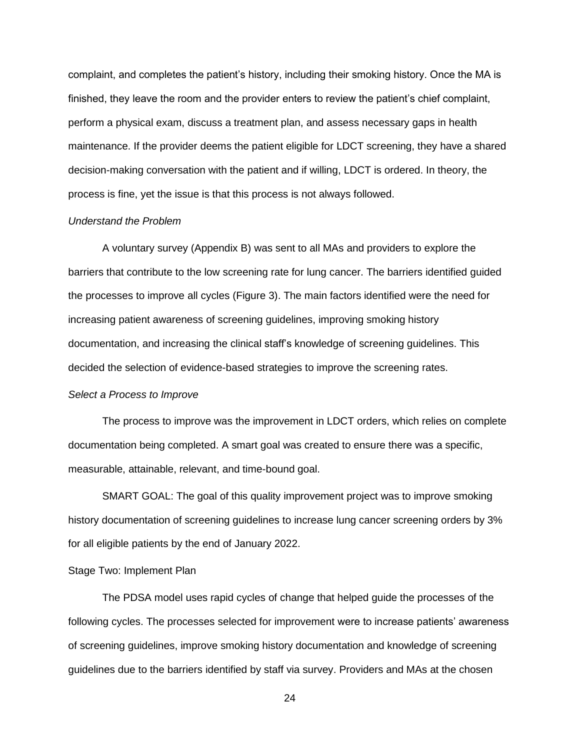complaint, and completes the patient's history, including their smoking history. Once the MA is finished, they leave the room and the provider enters to review the patient's chief complaint, perform a physical exam, discuss a treatment plan, and assess necessary gaps in health maintenance. If the provider deems the patient eligible for LDCT screening, they have a shared decision-making conversation with the patient and if willing, LDCT is ordered. In theory, the process is fine, yet the issue is that this process is not always followed.

#### *Understand the Problem*

A voluntary survey (Appendix B) was sent to all MAs and providers to explore the barriers that contribute to the low screening rate for lung cancer. The barriers identified guided the processes to improve all cycles (Figure 3). The main factors identified were the need for increasing patient awareness of screening guidelines, improving smoking history documentation, and increasing the clinical staff's knowledge of screening guidelines. This decided the selection of evidence-based strategies to improve the screening rates.

#### *Select a Process to Improve*

The process to improve was the improvement in LDCT orders, which relies on complete documentation being completed. A smart goal was created to ensure there was a specific, measurable, attainable, relevant, and time-bound goal.

SMART GOAL: The goal of this quality improvement project was to improve smoking history documentation of screening guidelines to increase lung cancer screening orders by 3% for all eligible patients by the end of January 2022.

## Stage Two: Implement Plan

The PDSA model uses rapid cycles of change that helped guide the processes of the following cycles. The processes selected for improvement were to increase patients' awareness of screening guidelines, improve smoking history documentation and knowledge of screening guidelines due to the barriers identified by staff via survey. Providers and MAs at the chosen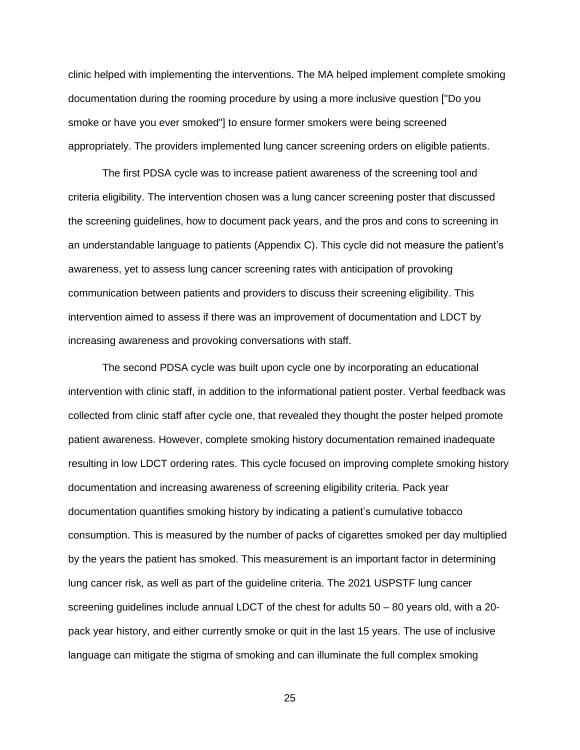clinic helped with implementing the interventions. The MA helped implement complete smoking documentation during the rooming procedure by using a more inclusive question ["Do you smoke or have you ever smoked"] to ensure former smokers were being screened appropriately. The providers implemented lung cancer screening orders on eligible patients.

The first PDSA cycle was to increase patient awareness of the screening tool and criteria eligibility. The intervention chosen was a lung cancer screening poster that discussed the screening guidelines, how to document pack years, and the pros and cons to screening in an understandable language to patients (Appendix C). This cycle did not measure the patient's awareness, yet to assess lung cancer screening rates with anticipation of provoking communication between patients and providers to discuss their screening eligibility. This intervention aimed to assess if there was an improvement of documentation and LDCT by increasing awareness and provoking conversations with staff.

The second PDSA cycle was built upon cycle one by incorporating an educational intervention with clinic staff, in addition to the informational patient poster. Verbal feedback was collected from clinic staff after cycle one, that revealed they thought the poster helped promote patient awareness. However, complete smoking history documentation remained inadequate resulting in low LDCT ordering rates. This cycle focused on improving complete smoking history documentation and increasing awareness of screening eligibility criteria. Pack year documentation quantifies smoking history by indicating a patient's cumulative tobacco consumption. This is measured by the number of packs of cigarettes smoked per day multiplied by the years the patient has smoked. This measurement is an important factor in determining lung cancer risk, as well as part of the guideline criteria. The 2021 USPSTF lung cancer screening guidelines include annual LDCT of the chest for adults 50 – 80 years old, with a 20 pack year history, and either currently smoke or quit in the last 15 years. The use of inclusive language can mitigate the stigma of smoking and can illuminate the full complex smoking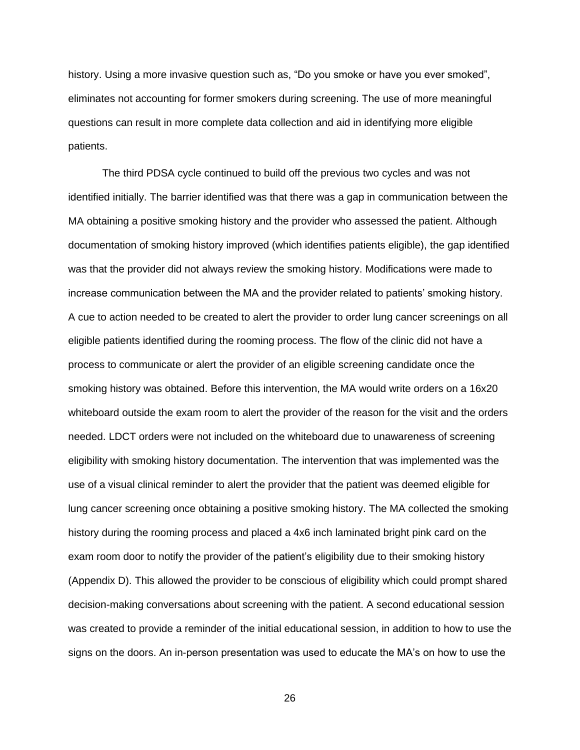history. Using a more invasive question such as, "Do you smoke or have you ever smoked", eliminates not accounting for former smokers during screening. The use of more meaningful questions can result in more complete data collection and aid in identifying more eligible patients.

The third PDSA cycle continued to build off the previous two cycles and was not identified initially. The barrier identified was that there was a gap in communication between the MA obtaining a positive smoking history and the provider who assessed the patient. Although documentation of smoking history improved (which identifies patients eligible), the gap identified was that the provider did not always review the smoking history. Modifications were made to increase communication between the MA and the provider related to patients' smoking history. A cue to action needed to be created to alert the provider to order lung cancer screenings on all eligible patients identified during the rooming process. The flow of the clinic did not have a process to communicate or alert the provider of an eligible screening candidate once the smoking history was obtained. Before this intervention, the MA would write orders on a 16x20 whiteboard outside the exam room to alert the provider of the reason for the visit and the orders needed. LDCT orders were not included on the whiteboard due to unawareness of screening eligibility with smoking history documentation. The intervention that was implemented was the use of a visual clinical reminder to alert the provider that the patient was deemed eligible for lung cancer screening once obtaining a positive smoking history. The MA collected the smoking history during the rooming process and placed a 4x6 inch laminated bright pink card on the exam room door to notify the provider of the patient's eligibility due to their smoking history (Appendix D). This allowed the provider to be conscious of eligibility which could prompt shared decision-making conversations about screening with the patient. A second educational session was created to provide a reminder of the initial educational session, in addition to how to use the signs on the doors. An in-person presentation was used to educate the MA's on how to use the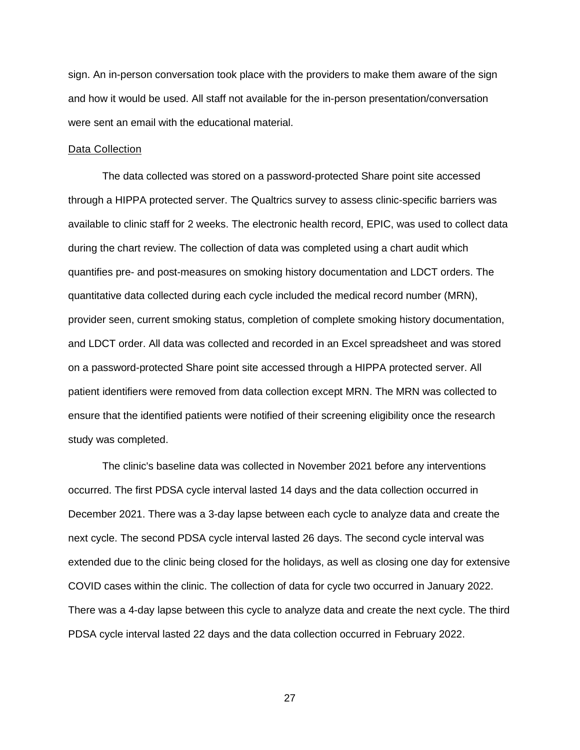sign. An in-person conversation took place with the providers to make them aware of the sign and how it would be used. All staff not available for the in-person presentation/conversation were sent an email with the educational material.

#### <span id="page-27-0"></span>Data Collection

The data collected was stored on a password-protected Share point site accessed through a HIPPA protected server. The Qualtrics survey to assess clinic-specific barriers was available to clinic staff for 2 weeks. The electronic health record, EPIC, was used to collect data during the chart review. The collection of data was completed using a chart audit which quantifies pre- and post-measures on smoking history documentation and LDCT orders. The quantitative data collected during each cycle included the medical record number (MRN), provider seen, current smoking status, completion of complete smoking history documentation, and LDCT order. All data was collected and recorded in an Excel spreadsheet and was stored on a password-protected Share point site accessed through a HIPPA protected server. All patient identifiers were removed from data collection except MRN. The MRN was collected to ensure that the identified patients were notified of their screening eligibility once the research study was completed.

The clinic's baseline data was collected in November 2021 before any interventions occurred. The first PDSA cycle interval lasted 14 days and the data collection occurred in December 2021. There was a 3-day lapse between each cycle to analyze data and create the next cycle. The second PDSA cycle interval lasted 26 days. The second cycle interval was extended due to the clinic being closed for the holidays, as well as closing one day for extensive COVID cases within the clinic. The collection of data for cycle two occurred in January 2022. There was a 4-day lapse between this cycle to analyze data and create the next cycle. The third PDSA cycle interval lasted 22 days and the data collection occurred in February 2022.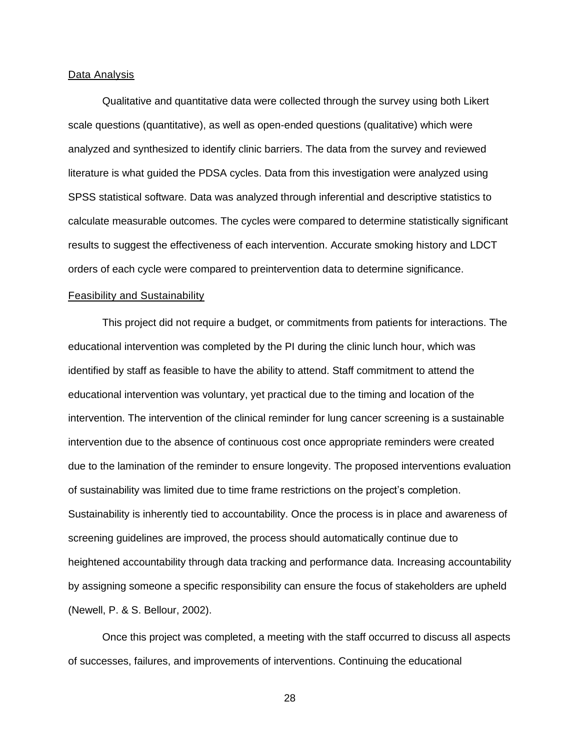#### <span id="page-28-0"></span>Data Analysis

Qualitative and quantitative data were collected through the survey using both Likert scale questions (quantitative), as well as open-ended questions (qualitative) which were analyzed and synthesized to identify clinic barriers. The data from the survey and reviewed literature is what guided the PDSA cycles. Data from this investigation were analyzed using SPSS statistical software. Data was analyzed through inferential and descriptive statistics to calculate measurable outcomes. The cycles were compared to determine statistically significant results to suggest the effectiveness of each intervention. Accurate smoking history and LDCT orders of each cycle were compared to preintervention data to determine significance.

#### <span id="page-28-1"></span>Feasibility and Sustainability

This project did not require a budget, or commitments from patients for interactions. The educational intervention was completed by the PI during the clinic lunch hour, which was identified by staff as feasible to have the ability to attend. Staff commitment to attend the educational intervention was voluntary, yet practical due to the timing and location of the intervention. The intervention of the clinical reminder for lung cancer screening is a sustainable intervention due to the absence of continuous cost once appropriate reminders were created due to the lamination of the reminder to ensure longevity. The proposed interventions evaluation of sustainability was limited due to time frame restrictions on the project's completion. Sustainability is inherently tied to accountability. Once the process is in place and awareness of screening guidelines are improved, the process should automatically continue due to heightened accountability through data tracking and performance data. Increasing accountability by assigning someone a specific responsibility can ensure the focus of stakeholders are upheld (Newell, P. & S. Bellour, 2002).

Once this project was completed, a meeting with the staff occurred to discuss all aspects of successes, failures, and improvements of interventions. Continuing the educational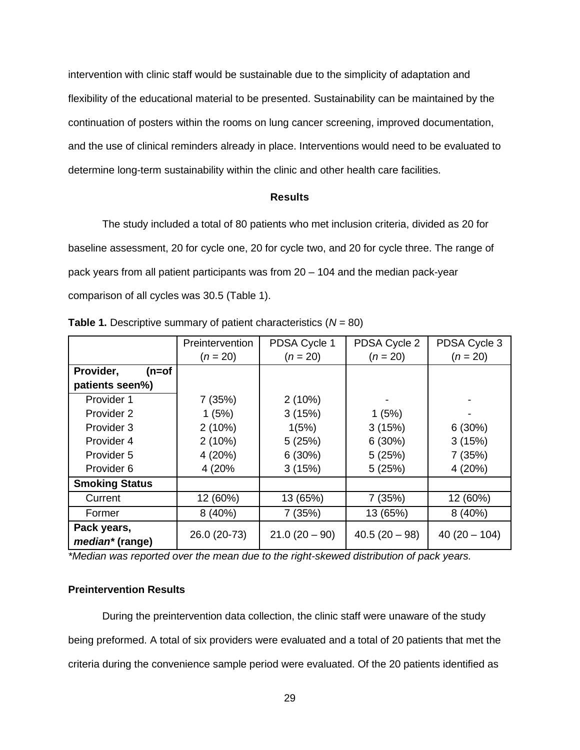intervention with clinic staff would be sustainable due to the simplicity of adaptation and flexibility of the educational material to be presented. Sustainability can be maintained by the continuation of posters within the rooms on lung cancer screening, improved documentation, and the use of clinical reminders already in place. Interventions would need to be evaluated to determine long-term sustainability within the clinic and other health care facilities.

#### **Results**

<span id="page-29-0"></span>The study included a total of 80 patients who met inclusion criteria, divided as 20 for baseline assessment, 20 for cycle one, 20 for cycle two, and 20 for cycle three. The range of pack years from all patient participants was from 20 – 104 and the median pack-year comparison of all cycles was 30.5 (Table 1).

|                                | Preintervention | PDSA Cycle 1<br>PDSA Cycle 2 |               | PDSA Cycle 3   |  |
|--------------------------------|-----------------|------------------------------|---------------|----------------|--|
|                                | $(n = 20)$      | $(n = 20)$<br>$(n = 20)$     |               | $(n = 20)$     |  |
| Provider,<br>(n=of             |                 |                              |               |                |  |
| patients seen%)                |                 |                              |               |                |  |
| Provider 1                     | 7(35%)          | 2(10%)                       |               |                |  |
| Provider 2                     | 1(5%)           | 3(15%)                       | 1(5%)         |                |  |
| Provider 3                     | 2(10%)          | 1(5%)                        | 3(15%)        | 6(30%)         |  |
| Provider 4                     | 2(10%)          | 5(25%)                       | 6(30%)        | 3(15%)         |  |
| Provider 5                     | 4(20%)          | 6(30%)                       | 5(25%)        | 7(35%)         |  |
| Provider 6                     | 4 (20%)         | 3(15%)                       | 5(25%)        | 4(20%)         |  |
| <b>Smoking Status</b>          |                 |                              |               |                |  |
| Current                        | 12 (60%)        | 13 (65%)                     | 7 (35%)       | 12 (60%)       |  |
| Former                         | 8(40%)          | 7 (35%)                      | 13 (65%)      | 8(40%)         |  |
| Pack years,<br>median* (range) | 26.0 (20-73)    | $21.0(20 - 90)$              | $40.5(20-98)$ | $40(20 - 104)$ |  |

**Table 1.** Descriptive summary of patient characteristics (*N* = 80)

*\*Median was reported over the mean due to the right-skewed distribution of pack years.*

# <span id="page-29-1"></span>**Preintervention Results**

During the preintervention data collection, the clinic staff were unaware of the study being preformed. A total of six providers were evaluated and a total of 20 patients that met the criteria during the convenience sample period were evaluated. Of the 20 patients identified as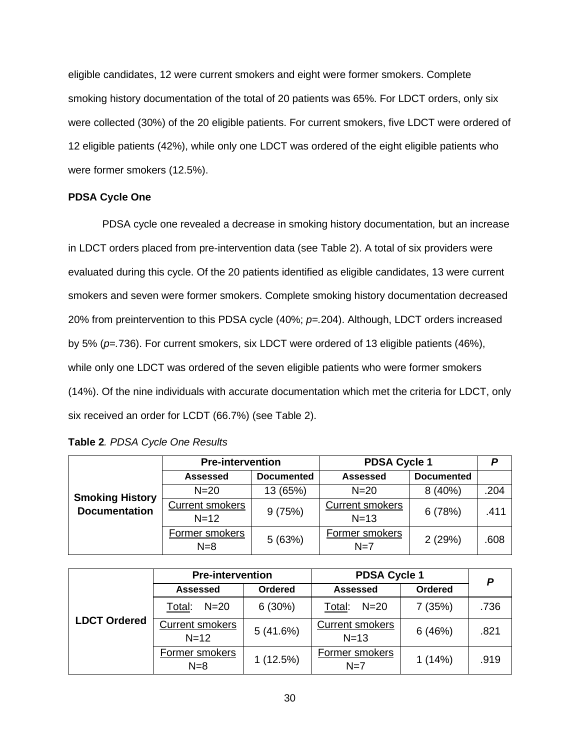eligible candidates, 12 were current smokers and eight were former smokers. Complete smoking history documentation of the total of 20 patients was 65%. For LDCT orders, only six were collected (30%) of the 20 eligible patients. For current smokers, five LDCT were ordered of 12 eligible patients (42%), while only one LDCT was ordered of the eight eligible patients who were former smokers (12.5%).

# <span id="page-30-0"></span>**PDSA Cycle One**

PDSA cycle one revealed a decrease in smoking history documentation, but an increase in LDCT orders placed from pre-intervention data (see Table 2). A total of six providers were evaluated during this cycle. Of the 20 patients identified as eligible candidates, 13 were current smokers and seven were former smokers. Complete smoking history documentation decreased 20% from preintervention to this PDSA cycle (40%; *p=.*204). Although, LDCT orders increased by 5% (*p=.*736). For current smokers, six LDCT were ordered of 13 eligible patients (46%), while only one LDCT was ordered of the seven eligible patients who were former smokers (14%). Of the nine individuals with accurate documentation which met the criteria for LDCT, only six received an order for LCDT (66.7%) (see Table 2).

| Table 2. PDSA Cycle One Results |  |
|---------------------------------|--|
|---------------------------------|--|

|                                                | <b>Pre-intervention</b> |                   | <b>PDSA Cycle 1</b>     |                   | P    |
|------------------------------------------------|-------------------------|-------------------|-------------------------|-------------------|------|
| <b>Smoking History</b><br><b>Documentation</b> | <b>Assessed</b>         | <b>Documented</b> | <b>Assessed</b>         | <b>Documented</b> |      |
|                                                | $N = 20$                | 13 (65%)          | $N=20$                  | 8(40%)            | .204 |
|                                                | <b>Current smokers</b>  | 9(75%)            | <b>Current smokers</b>  | 6(78%)            | .411 |
|                                                | $N = 12$                |                   | $N=13$                  |                   |      |
|                                                | Former smokers<br>$N=8$ | 5(63%)            | Former smokers<br>$N=7$ | 2(29%)            | .608 |

|                     | <b>Pre-intervention</b>                        |                | <b>PDSA Cycle 1</b>              |                | D    |
|---------------------|------------------------------------------------|----------------|----------------------------------|----------------|------|
|                     | <b>Assessed</b>                                | <b>Ordered</b> | <b>Assessed</b>                  | <b>Ordered</b> |      |
|                     | $N=20$<br>6(30%)<br>$N=20$<br>Total:<br>Total: |                | 7 (35%)                          | .736           |      |
| <b>LDCT Ordered</b> | <b>Current smokers</b><br>$N=12$               | 5(41.6%)       | <b>Current smokers</b><br>$N=13$ | 6(46%)         | .821 |
|                     | Former smokers<br>$N=8$                        | 1(12.5%)       | Former smokers<br>$N=7$          | 1(14%)         | .919 |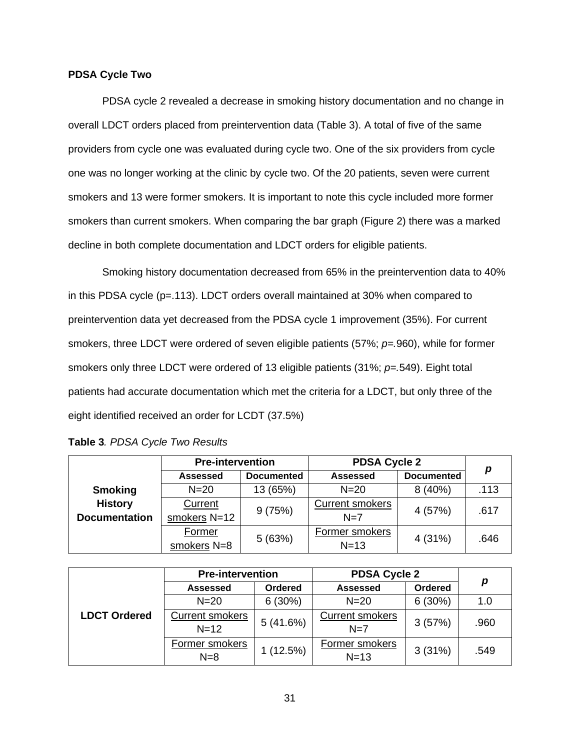#### <span id="page-31-0"></span>**PDSA Cycle Two**

PDSA cycle 2 revealed a decrease in smoking history documentation and no change in overall LDCT orders placed from preintervention data (Table 3). A total of five of the same providers from cycle one was evaluated during cycle two. One of the six providers from cycle one was no longer working at the clinic by cycle two. Of the 20 patients, seven were current smokers and 13 were former smokers. It is important to note this cycle included more former smokers than current smokers. When comparing the bar graph (Figure 2) there was a marked decline in both complete documentation and LDCT orders for eligible patients.

Smoking history documentation decreased from 65% in the preintervention data to 40% in this PDSA cycle (p=.113). LDCT orders overall maintained at 30% when compared to preintervention data yet decreased from the PDSA cycle 1 improvement (35%). For current smokers, three LDCT were ordered of seven eligible patients (57%; *p=.*960), while for former smokers only three LDCT were ordered of 13 eligible patients (31%; *p=.*549). Eight total patients had accurate documentation which met the criteria for a LDCT, but only three of the eight identified received an order for LCDT (37.5%)

|                      | <b>Pre-intervention</b> |                   | <b>PDSA Cycle 2</b>    |                   |      |
|----------------------|-------------------------|-------------------|------------------------|-------------------|------|
|                      | <b>Assessed</b>         | <b>Documented</b> | <b>Assessed</b>        | <b>Documented</b> | p    |
| <b>Smoking</b>       | $N=20$                  | 13 (65%)          | $N=20$                 | 8(40%)            | .113 |
| <b>History</b>       | <b>Current</b>          | 9(75%)            | <b>Current smokers</b> | 4 (57%)           | .617 |
| <b>Documentation</b> | smokers N=12            |                   | $N=7$                  |                   |      |
|                      | Former                  | 5(63%)            | Former smokers         | 4 (31%)           | .646 |
|                      | smokers N=8             |                   | $N=13$                 |                   |      |

| Table 3. PDSA Cycle Two Results |  |  |  |
|---------------------------------|--|--|--|
|---------------------------------|--|--|--|

|                     | <b>Pre-intervention</b>          |          | <b>PDSA Cycle 2</b>             |         |      |  |
|---------------------|----------------------------------|----------|---------------------------------|---------|------|--|
| <b>LDCT Ordered</b> | Assessed                         | Ordered  | <b>Assessed</b>                 | Ordered | р    |  |
|                     | $N = 20$                         | 6(30%)   | $N = 20$                        | 6(30%)  | 1.0  |  |
|                     | <b>Current smokers</b><br>$N=12$ | 5(41.6%) | <b>Current smokers</b><br>$N=7$ | 3(57%)  | .960 |  |
|                     | Former smokers<br>$N=8$          | 1(12.5%) | Former smokers<br>$N=13$        | 3(31%)  | .549 |  |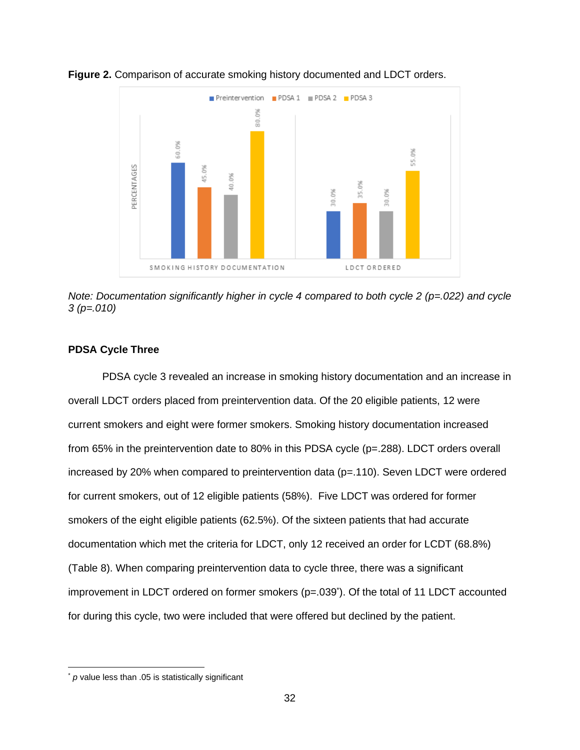

**Figure 2.** Comparison of accurate smoking history documented and LDCT orders.

*Note: Documentation significantly higher in cycle 4 compared to both cycle 2 (p=.022) and cycle 3 (p=.010)*

### <span id="page-32-0"></span>**PDSA Cycle Three**

PDSA cycle 3 revealed an increase in smoking history documentation and an increase in overall LDCT orders placed from preintervention data. Of the 20 eligible patients, 12 were current smokers and eight were former smokers. Smoking history documentation increased from 65% in the preintervention date to 80% in this PDSA cycle (p=.288). LDCT orders overall increased by 20% when compared to preintervention data  $(p=.110)$ . Seven LDCT were ordered for current smokers, out of 12 eligible patients (58%). Five LDCT was ordered for former smokers of the eight eligible patients (62.5%). Of the sixteen patients that had accurate documentation which met the criteria for LDCT, only 12 received an order for LCDT (68.8%) (Table 8). When comparing preintervention data to cycle three, there was a significant improvement in LDCT ordered on former smokers (p=.039<sup>\*</sup>). Of the total of 11 LDCT accounted for during this cycle, two were included that were offered but declined by the patient.

p value less than .05 is statistically significant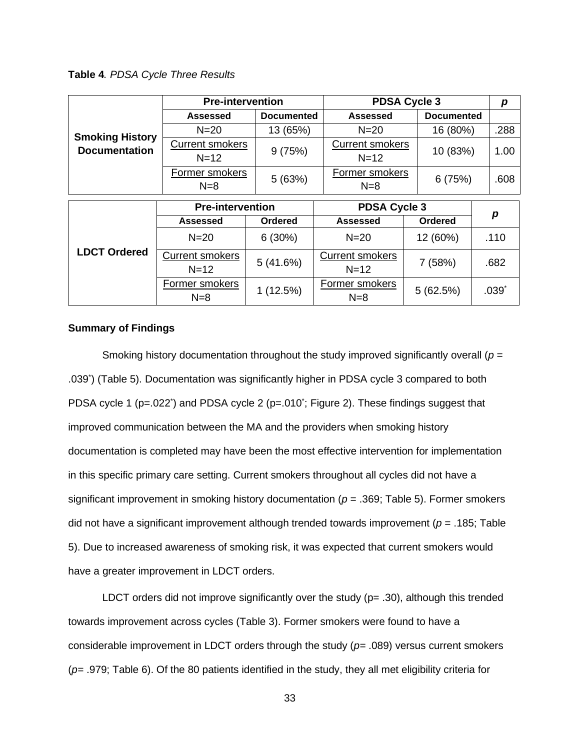**Table 4***. PDSA Cycle Three Results*

|                        | <b>Pre-intervention</b> |                   | <b>PDSA Cycle 3</b>                 |                   |      |
|------------------------|-------------------------|-------------------|-------------------------------------|-------------------|------|
|                        | <b>Assessed</b>         | <b>Documented</b> | <b>Assessed</b>                     | <b>Documented</b> |      |
| <b>Smoking History</b> | $N=20$                  | 13 (65%)          | $N = 20$                            | 16 (80%)          | .288 |
| <b>Documentation</b>   | <b>Current smokers</b>  | 9(75%)            | <b>Current smokers</b>              | 10 (83%)          | 1.00 |
|                        | $N = 12$                |                   | $N=12$                              |                   |      |
|                        | Former smokers<br>$N=8$ | 5(63%)            | Former smokers<br>6(75%)<br>$N = 8$ |                   | .608 |
|                        | <b>Pre-intervention</b> |                   | <b>PDSA Cycle 3</b>                 |                   |      |
|                        |                         |                   |                                     |                   | p    |

|                     | LIGJIIIGI VEIIIIOII                 |                | <b>FUJA UYUIG J</b>                |                |         |
|---------------------|-------------------------------------|----------------|------------------------------------|----------------|---------|
|                     | <b>Assessed</b>                     | <b>Ordered</b> | <b>Assessed</b>                    | <b>Ordered</b> | p       |
|                     | $N = 20$                            |                | $N=20$                             | 12 (60%)       | .110    |
| <b>LDCT Ordered</b> | <b>Current smokers</b><br>$N = 12$  | 5(41.6%)       | <b>Current smokers</b><br>$N = 12$ | 7(58%)         | .682    |
|                     | Former smokers<br>1(12.5%)<br>$N=8$ |                | Former smokers<br>$N=8$            | 5(62.5%)       | $.039*$ |

## <span id="page-33-0"></span>**Summary of Findings**

Smoking history documentation throughout the study improved significantly overall (*p* = .039\* ) (Table 5). Documentation was significantly higher in PDSA cycle 3 compared to both PDSA cycle 1 (p=.022<sup>\*</sup>) and PDSA cycle 2 (p=.010<sup>\*</sup>; Figure 2). These findings suggest that improved communication between the MA and the providers when smoking history documentation is completed may have been the most effective intervention for implementation in this specific primary care setting. Current smokers throughout all cycles did not have a significant improvement in smoking history documentation (*p* = .369; Table 5). Former smokers did not have a significant improvement although trended towards improvement (*p* = .185; Table 5). Due to increased awareness of smoking risk, it was expected that current smokers would have a greater improvement in LDCT orders.

LDCT orders did not improve significantly over the study  $(p= .30)$ , although this trended towards improvement across cycles (Table 3). Former smokers were found to have a considerable improvement in LDCT orders through the study (*p=* .089) versus current smokers (*p=* .979; Table 6). Of the 80 patients identified in the study, they all met eligibility criteria for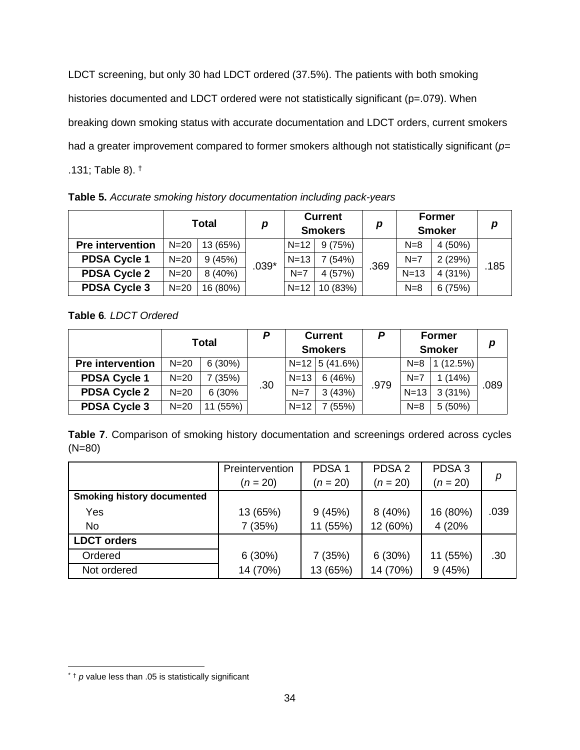LDCT screening, but only 30 had LDCT ordered (37.5%). The patients with both smoking histories documented and LDCT ordered were not statistically significant (p=.079). When breaking down smoking status with accurate documentation and LDCT orders, current smokers had a greater improvement compared to former smokers although not statistically significant (*p=* .131; Table 8). †

**Table 5.** *Accurate smoking history documentation including pack-years*

|                         | Total    |          | р       |          | <b>Current</b><br><b>Smokers</b> | p    |        | <b>Former</b><br><b>Smoker</b> | p    |
|-------------------------|----------|----------|---------|----------|----------------------------------|------|--------|--------------------------------|------|
| <b>Pre intervention</b> | $N=20$   | 13 (65%) |         | $N = 12$ | 9(75%)                           |      | $N=8$  | $4(50\%)$                      |      |
| <b>PDSA Cycle 1</b>     | $N = 20$ | 9(45%)   | $.039*$ | $N = 13$ | 7 (54%)                          | .369 | $N=7$  | 2(29%)                         | .185 |
| <b>PDSA Cycle 2</b>     | $N = 20$ | 8 (40%)  |         | $N=7$    | 4(57%)                           |      | $N=13$ | 4(31%)                         |      |
| <b>PDSA Cycle 3</b>     | $N = 20$ | 16 (80%) |         | $N=12$   | 10 (83%)                         |      | $N=8$  | 6(75%)                         |      |

**Table 6***. LDCT Ordered*

|                         |        | <b>Total</b> | P   |          | <b>Current</b><br><b>Smokers</b> | P    |        | <b>Former</b><br><b>Smoker</b> | p   |
|-------------------------|--------|--------------|-----|----------|----------------------------------|------|--------|--------------------------------|-----|
| <b>Pre intervention</b> | $N=20$ | 6(30%)       |     |          | $N=12$ 5 (41.6%)                 |      | $N=8$  | (12.5%)                        |     |
| <b>PDSA Cycle 1</b>     | $N=20$ | (35%)        | .30 | $N=13$   | 6(46%)                           | .979 | $N=7$  | 1(14%)                         | 089 |
| <b>PDSA Cycle 2</b>     | $N=20$ | 6 (30%       |     | $N=7$    | 3(43%)                           |      | $N=13$ | 3(31%)                         |     |
| <b>PDSA Cycle 3</b>     | $N=20$ | (55%)        |     | $N = 12$ | (55%)                            |      | $N=8$  | $5(50\%)$                      |     |

**Table 7**. Comparison of smoking history documentation and screenings ordered across cycles (N=80)

|                                   | Preintervention | PDSA <sub>1</sub> | PDSA <sub>2</sub> | PDSA <sub>3</sub> |      |
|-----------------------------------|-----------------|-------------------|-------------------|-------------------|------|
|                                   | $(n = 20)$      | $(n = 20)$        | $(n = 20)$        | $(n = 20)$        | р    |
| <b>Smoking history documented</b> |                 |                   |                   |                   |      |
| Yes                               | 13 (65%)        | 9(45%)            | 8(40%)            | 16 (80%)          | .039 |
| <b>No</b>                         | 7 (35%)         | 11 (55%)          | 12 (60%)          | 4 (20%)           |      |
| <b>LDCT</b> orders                |                 |                   |                   |                   |      |
| Ordered                           | 6(30%)          | 7(35%)            | 6(30%)            | 11 (55%)          | .30  |
| Not ordered                       | 14 (70%)        | 13 (65%)          | 14 (70%)          | 9(45%)            |      |

 $*$   $\dagger$   $p$  value less than .05 is statistically significant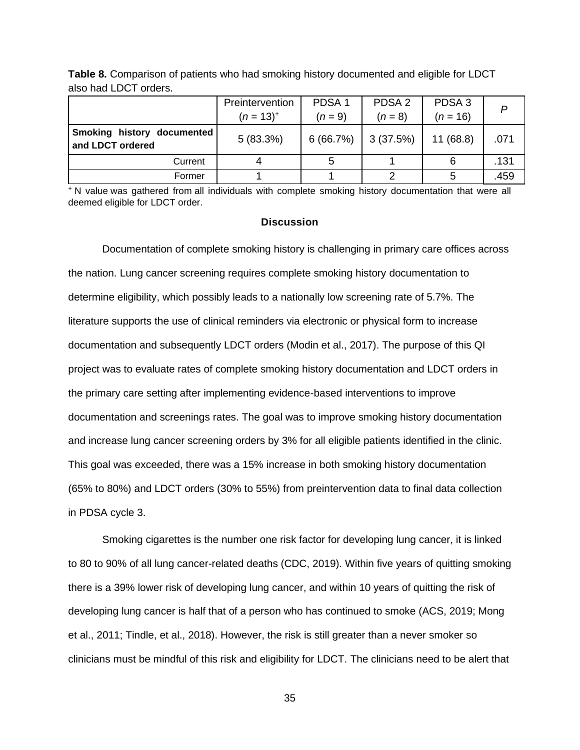|                                                       | Preintervention<br>$(n = 13)^{+}$ | PDSA <sub>1</sub><br>$(n = 9)$ | PDSA <sub>2</sub><br>$(n = 8)$ | PDSA <sub>3</sub><br>$(n = 16)$ |      |
|-------------------------------------------------------|-----------------------------------|--------------------------------|--------------------------------|---------------------------------|------|
| <b>Smoking history documented</b><br>and LDCT ordered | 5(83.3%)                          | 6(66.7%)                       | 3(37.5%)                       | 11(68.8)                        | .071 |
| Current                                               |                                   |                                |                                |                                 | .131 |
| Former                                                |                                   |                                |                                |                                 | .459 |

**Table 8.** Comparison of patients who had smoking history documented and eligible for LDCT also had LDCT orders.

<sup>+</sup> N value was gathered from all individuals with complete smoking history documentation that were all deemed eligible for LDCT order.

#### **Discussion**

<span id="page-35-0"></span>Documentation of complete smoking history is challenging in primary care offices across the nation. Lung cancer screening requires complete smoking history documentation to determine eligibility, which possibly leads to a nationally low screening rate of 5.7%. The literature supports the use of clinical reminders via electronic or physical form to increase documentation and subsequently LDCT orders (Modin et al., 2017). The purpose of this QI project was to evaluate rates of complete smoking history documentation and LDCT orders in the primary care setting after implementing evidence-based interventions to improve documentation and screenings rates. The goal was to improve smoking history documentation and increase lung cancer screening orders by 3% for all eligible patients identified in the clinic. This goal was exceeded, there was a 15% increase in both smoking history documentation (65% to 80%) and LDCT orders (30% to 55%) from preintervention data to final data collection in PDSA cycle 3.

Smoking cigarettes is the number one risk factor for developing lung cancer, it is linked to 80 to 90% of all lung cancer-related deaths (CDC, 2019). Within five years of quitting smoking there is a 39% lower risk of developing lung cancer, and within 10 years of quitting the risk of developing lung cancer is half that of a person who has continued to smoke (ACS, 2019; Mong et al., 2011; Tindle, et al., 2018). However, the risk is still greater than a never smoker so clinicians must be mindful of this risk and eligibility for LDCT. The clinicians need to be alert that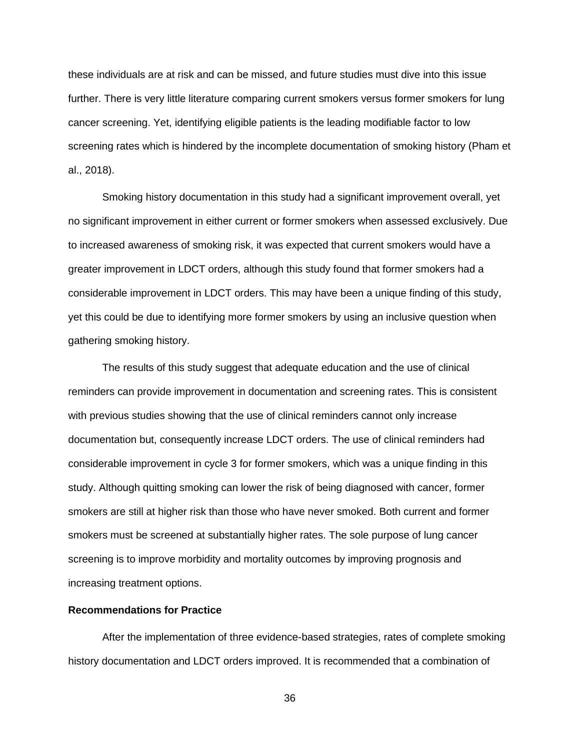these individuals are at risk and can be missed, and future studies must dive into this issue further. There is very little literature comparing current smokers versus former smokers for lung cancer screening. Yet, identifying eligible patients is the leading modifiable factor to low screening rates which is hindered by the incomplete documentation of smoking history (Pham et al., 2018).

Smoking history documentation in this study had a significant improvement overall, yet no significant improvement in either current or former smokers when assessed exclusively. Due to increased awareness of smoking risk, it was expected that current smokers would have a greater improvement in LDCT orders, although this study found that former smokers had a considerable improvement in LDCT orders. This may have been a unique finding of this study, yet this could be due to identifying more former smokers by using an inclusive question when gathering smoking history.

The results of this study suggest that adequate education and the use of clinical reminders can provide improvement in documentation and screening rates. This is consistent with previous studies showing that the use of clinical reminders cannot only increase documentation but, consequently increase LDCT orders. The use of clinical reminders had considerable improvement in cycle 3 for former smokers, which was a unique finding in this study. Although quitting smoking can lower the risk of being diagnosed with cancer, former smokers are still at higher risk than those who have never smoked. Both current and former smokers must be screened at substantially higher rates. The sole purpose of lung cancer screening is to improve morbidity and mortality outcomes by improving prognosis and increasing treatment options.

### <span id="page-36-0"></span>**Recommendations for Practice**

After the implementation of three evidence-based strategies, rates of complete smoking history documentation and LDCT orders improved. It is recommended that a combination of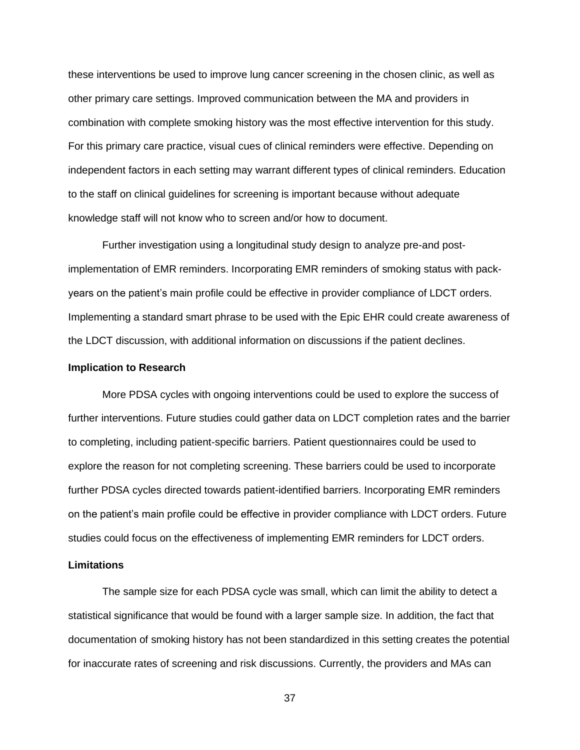these interventions be used to improve lung cancer screening in the chosen clinic, as well as other primary care settings. Improved communication between the MA and providers in combination with complete smoking history was the most effective intervention for this study. For this primary care practice, visual cues of clinical reminders were effective. Depending on independent factors in each setting may warrant different types of clinical reminders. Education to the staff on clinical guidelines for screening is important because without adequate knowledge staff will not know who to screen and/or how to document.

Further investigation using a longitudinal study design to analyze pre-and postimplementation of EMR reminders. Incorporating EMR reminders of smoking status with packyears on the patient's main profile could be effective in provider compliance of LDCT orders. Implementing a standard smart phrase to be used with the Epic EHR could create awareness of the LDCT discussion, with additional information on discussions if the patient declines.

#### <span id="page-37-0"></span>**Implication to Research**

More PDSA cycles with ongoing interventions could be used to explore the success of further interventions. Future studies could gather data on LDCT completion rates and the barrier to completing, including patient-specific barriers. Patient questionnaires could be used to explore the reason for not completing screening. These barriers could be used to incorporate further PDSA cycles directed towards patient-identified barriers. Incorporating EMR reminders on the patient's main profile could be effective in provider compliance with LDCT orders. Future studies could focus on the effectiveness of implementing EMR reminders for LDCT orders.

#### <span id="page-37-1"></span>**Limitations**

The sample size for each PDSA cycle was small, which can limit the ability to detect a statistical significance that would be found with a larger sample size. In addition, the fact that documentation of smoking history has not been standardized in this setting creates the potential for inaccurate rates of screening and risk discussions. Currently, the providers and MAs can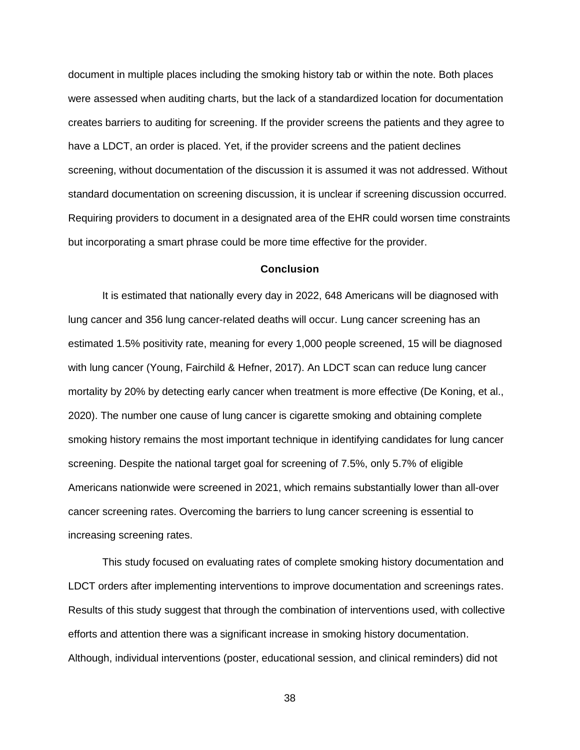document in multiple places including the smoking history tab or within the note. Both places were assessed when auditing charts, but the lack of a standardized location for documentation creates barriers to auditing for screening. If the provider screens the patients and they agree to have a LDCT, an order is placed. Yet, if the provider screens and the patient declines screening, without documentation of the discussion it is assumed it was not addressed. Without standard documentation on screening discussion, it is unclear if screening discussion occurred. Requiring providers to document in a designated area of the EHR could worsen time constraints but incorporating a smart phrase could be more time effective for the provider.

#### **Conclusion**

<span id="page-38-0"></span>It is estimated that nationally every day in 2022, 648 Americans will be diagnosed with lung cancer and 356 lung cancer-related deaths will occur. Lung cancer screening has an estimated 1.5% positivity rate, meaning for every 1,000 people screened, 15 will be diagnosed with lung cancer (Young, Fairchild & Hefner, 2017). An LDCT scan can reduce lung cancer mortality by 20% by detecting early cancer when treatment is more effective (De Koning, et al., 2020). The number one cause of lung cancer is cigarette smoking and obtaining complete smoking history remains the most important technique in identifying candidates for lung cancer screening. Despite the national target goal for screening of 7.5%, only 5.7% of eligible Americans nationwide were screened in 2021, which remains substantially lower than all-over cancer screening rates. Overcoming the barriers to lung cancer screening is essential to increasing screening rates.

This study focused on evaluating rates of complete smoking history documentation and LDCT orders after implementing interventions to improve documentation and screenings rates. Results of this study suggest that through the combination of interventions used, with collective efforts and attention there was a significant increase in smoking history documentation. Although, individual interventions (poster, educational session, and clinical reminders) did not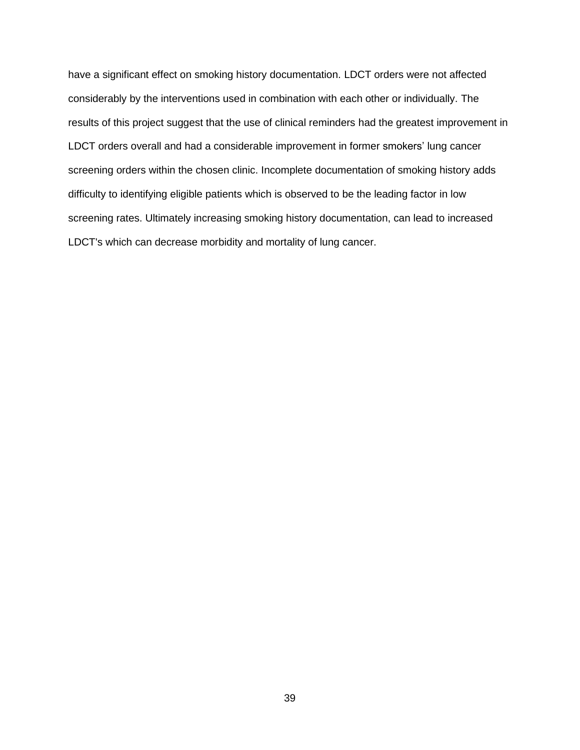have a significant effect on smoking history documentation. LDCT orders were not affected considerably by the interventions used in combination with each other or individually. The results of this project suggest that the use of clinical reminders had the greatest improvement in LDCT orders overall and had a considerable improvement in former smokers' lung cancer screening orders within the chosen clinic. Incomplete documentation of smoking history adds difficulty to identifying eligible patients which is observed to be the leading factor in low screening rates. Ultimately increasing smoking history documentation, can lead to increased LDCT's which can decrease morbidity and mortality of lung cancer.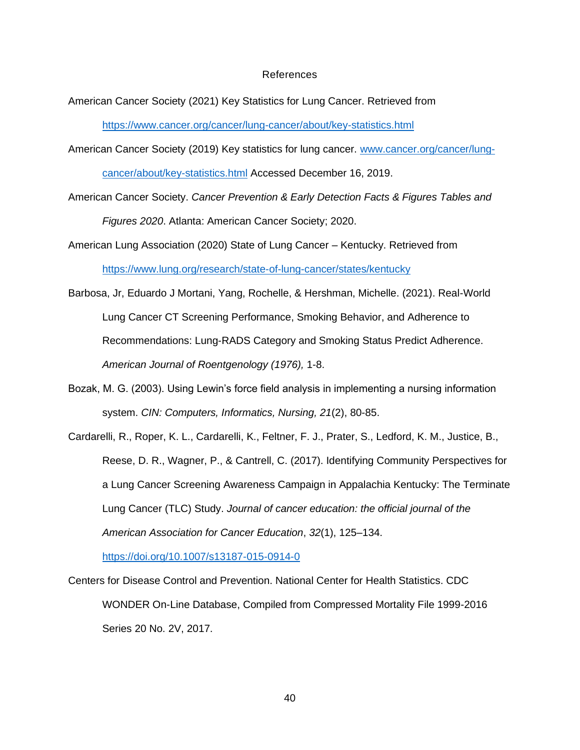#### References

<span id="page-40-0"></span>American Cancer Society (2021) Key Statistics for Lung Cancer. Retrieved from

<https://www.cancer.org/cancer/lung-cancer/about/key-statistics.html>

- American Cancer Society (2019) Key statistics for lung cancer. [www.cancer.org/cancer/lung](http://www.cancer.org/cancer/lung-cancer/about/key-statistics.html)[cancer/about/key-statistics.html](http://www.cancer.org/cancer/lung-cancer/about/key-statistics.html) Accessed December 16, 2019.
- American Cancer Society. *Cancer Prevention & Early Detection Facts & Figures Tables and Figures 2020*. Atlanta: American Cancer Society; 2020.
- American Lung Association (2020) State of Lung Cancer Kentucky. Retrieved from <https://www.lung.org/research/state-of-lung-cancer/states/kentucky>
- Barbosa, Jr, Eduardo J Mortani, Yang, Rochelle, & Hershman, Michelle. (2021). Real-World Lung Cancer CT Screening Performance, Smoking Behavior, and Adherence to Recommendations: Lung-RADS Category and Smoking Status Predict Adherence. *American Journal of Roentgenology (1976),* 1-8.
- Bozak, M. G. (2003). Using Lewin's force field analysis in implementing a nursing information system. *CIN: Computers, Informatics, Nursing, 21*(2), 80-85.
- Cardarelli, R., Roper, K. L., Cardarelli, K., Feltner, F. J., Prater, S., Ledford, K. M., Justice, B., Reese, D. R., Wagner, P., & Cantrell, C. (2017). Identifying Community Perspectives for a Lung Cancer Screening Awareness Campaign in Appalachia Kentucky: The Terminate Lung Cancer (TLC) Study. *Journal of cancer education: the official journal of the American Association for Cancer Education*, *32*(1), 125–134.

<https://doi.org/10.1007/s13187-015-0914-0>

Centers for Disease Control and Prevention. National Center for Health Statistics. CDC WONDER On-Line Database, Compiled from Compressed Mortality File 1999-2016 Series 20 No. 2V, 2017.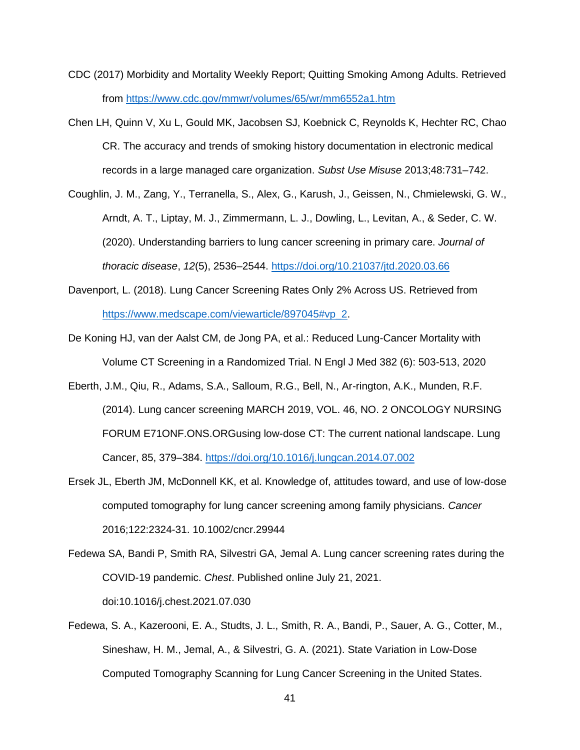- CDC (2017) Morbidity and Mortality Weekly Report; Quitting Smoking Among Adults. Retrieved from<https://www.cdc.gov/mmwr/volumes/65/wr/mm6552a1.htm>
- Chen LH, Quinn V, Xu L, Gould MK, Jacobsen SJ, Koebnick C, Reynolds K, Hechter RC, Chao CR. The accuracy and trends of smoking history documentation in electronic medical records in a large managed care organization. *Subst Use Misuse* 2013;48:731–742.
- Coughlin, J. M., Zang, Y., Terranella, S., Alex, G., Karush, J., Geissen, N., Chmielewski, G. W., Arndt, A. T., Liptay, M. J., Zimmermann, L. J., Dowling, L., Levitan, A., & Seder, C. W. (2020). Understanding barriers to lung cancer screening in primary care. *Journal of thoracic disease*, *12*(5), 2536–2544.<https://doi.org/10.21037/jtd.2020.03.66>
- Davenport, L. (2018). Lung Cancer Screening Rates Only 2% Across US. Retrieved from [https://www.medscape.com/viewarticle/897045#vp\\_2.](https://www.medscape.com/viewarticle/897045#vp_2)
- De Koning HJ, van der Aalst CM, de Jong PA, et al.: Reduced Lung-Cancer Mortality with Volume CT Screening in a Randomized Trial. N Engl J Med 382 (6): 503-513, 2020
- Eberth, J.M., Qiu, R., Adams, S.A., Salloum, R.G., Bell, N., Ar-rington, A.K., Munden, R.F. (2014). Lung cancer screening MARCH 2019, VOL. 46, NO. 2 ONCOLOGY NURSING FORUM E71ONF.ONS.ORGusing low-dose CT: The current national landscape. Lung Cancer, 85, 379–384.<https://doi.org/10.1016/j.lungcan.2014.07.002>
- Ersek JL, Eberth JM, McDonnell KK, et al. Knowledge of, attitudes toward, and use of low-dose computed tomography for lung cancer screening among family physicians. *Cancer* 2016;122:2324-31. 10.1002/cncr.29944
- Fedewa SA, Bandi P, Smith RA, Silvestri GA, Jemal A. Lung cancer screening rates during the COVID-19 pandemic. *Chest*. Published online July 21, 2021. doi:10.1016/j.chest.2021.07.030
- Fedewa, S. A., Kazerooni, E. A., Studts, J. L., Smith, R. A., Bandi, P., Sauer, A. G., Cotter, M., Sineshaw, H. M., Jemal, A., & Silvestri, G. A. (2021). State Variation in Low-Dose Computed Tomography Scanning for Lung Cancer Screening in the United States.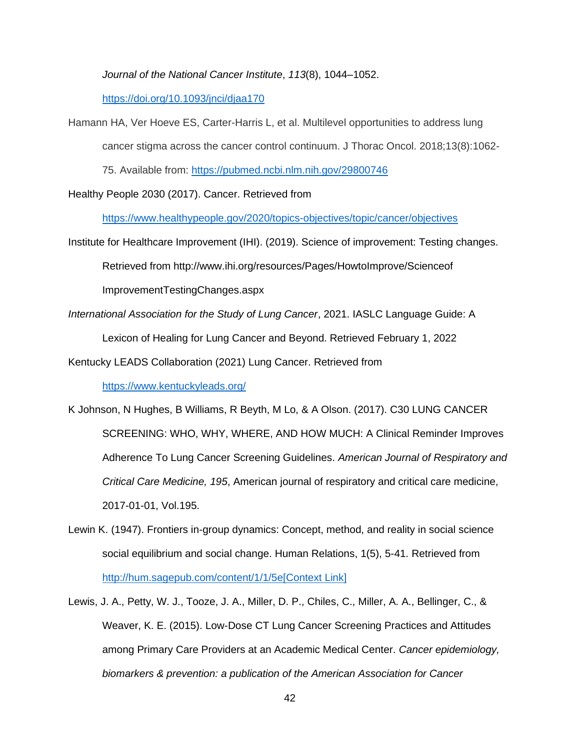*Journal of the National Cancer Institute*, *113*(8), 1044–1052.

<https://doi.org/10.1093/jnci/djaa170>

Hamann HA, Ver Hoeve ES, Carter-Harris L, et al. Multilevel opportunities to address lung

cancer stigma across the cancer control continuum. J Thorac Oncol. 2018;13(8):1062-

75. Available from:<https://pubmed.ncbi.nlm.nih.gov/29800746>

Healthy People 2030 (2017). Cancer. Retrieved from

<https://www.healthypeople.gov/2020/topics-objectives/topic/cancer/objectives>

Institute for Healthcare Improvement (IHI). (2019). Science of improvement: Testing changes.

Retrieved from http://www.ihi.org/resources/Pages/HowtoImprove/Scienceof

ImprovementTestingChanges.aspx

*International Association for the Study of Lung Cancer*, 2021. IASLC Language Guide: A

Lexicon of Healing for Lung Cancer and Beyond. Retrieved February 1, 2022

Kentucky LEADS Collaboration (2021) Lung Cancer. Retrieved from

<https://www.kentuckyleads.org/>

- K Johnson, N Hughes, B Williams, R Beyth, M Lo, & A Olson. (2017). C30 LUNG CANCER SCREENING: WHO, WHY, WHERE, AND HOW MUCH: A Clinical Reminder Improves Adherence To Lung Cancer Screening Guidelines. *American Journal of Respiratory and Critical Care Medicine, 195*, American journal of respiratory and critical care medicine, 2017-01-01, Vol.195.
- Lewin K. (1947). Frontiers in-group dynamics: Concept, method, and reality in social science social equilibrium and social change. Human Relations, 1(5), 5-41. Retrieved from <http://hum.sagepub.com/content/1/1/5e>[\[Context Link\]](https://www.nursingcenter.com/journalarticle?Article_ID=3554759&Journal_ID=496448&Issue_ID=3554734#P18)
- Lewis, J. A., Petty, W. J., Tooze, J. A., Miller, D. P., Chiles, C., Miller, A. A., Bellinger, C., & Weaver, K. E. (2015). Low-Dose CT Lung Cancer Screening Practices and Attitudes among Primary Care Providers at an Academic Medical Center. *Cancer epidemiology, biomarkers & prevention: a publication of the American Association for Cancer*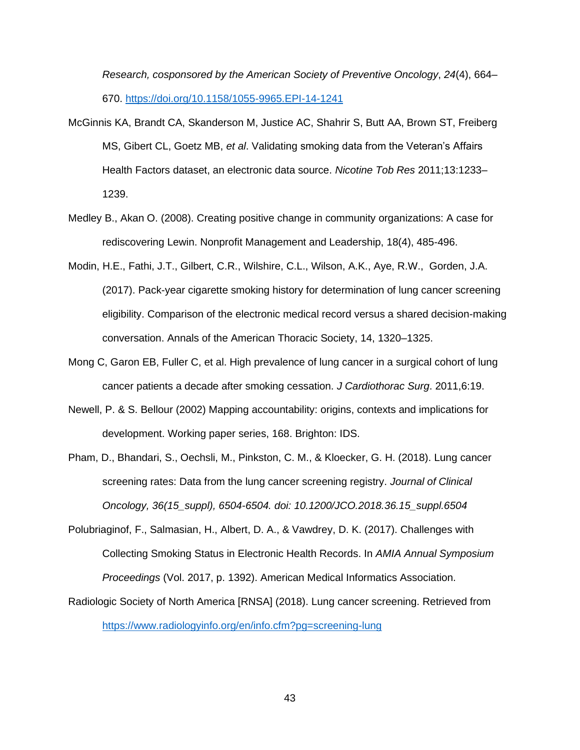*Research, cosponsored by the American Society of Preventive Oncology*, *24*(4), 664– 670.<https://doi.org/10.1158/1055-9965.EPI-14-1241>

- McGinnis KA, Brandt CA, Skanderson M, Justice AC, Shahrir S, Butt AA, Brown ST, Freiberg MS, Gibert CL, Goetz MB, *et al*. Validating smoking data from the Veteran's Affairs Health Factors dataset, an electronic data source. *Nicotine Tob Res* 2011;13:1233– 1239.
- Medley B., Akan O. (2008). Creating positive change in community organizations: A case for rediscovering Lewin. Nonprofit Management and Leadership, 18(4), 485-496.
- Modin, H.E., Fathi, J.T., Gilbert, C.R., Wilshire, C.L., Wilson, A.K., Aye, R.W., Gorden, J.A. (2017). Pack-year cigarette smoking history for determination of lung cancer screening eligibility. Comparison of the electronic medical record versus a shared decision-making conversation. Annals of the American Thoracic Society, 14, 1320–1325.
- Mong C, Garon EB, Fuller C, et al. High prevalence of lung cancer in a surgical cohort of lung cancer patients a decade after smoking cessation. *J Cardiothorac Surg*. 2011,6:19.
- Newell, P. & S. Bellour (2002) Mapping accountability: origins, contexts and implications for development. Working paper series, 168. Brighton: IDS.
- Pham, D., Bhandari, S., Oechsli, M., Pinkston, C. M., & Kloecker, G. H. (2018). Lung cancer screening rates: Data from the lung cancer screening registry. *Journal of Clinical Oncology, 36(15\_suppl), 6504-6504. doi: 10.1200/JCO.2018.36.15\_suppl.6504*
- Polubriaginof, F., Salmasian, H., Albert, D. A., & Vawdrey, D. K. (2017). Challenges with Collecting Smoking Status in Electronic Health Records. In *AMIA Annual Symposium Proceedings* (Vol. 2017, p. 1392). American Medical Informatics Association.
- Radiologic Society of North America [RNSA] (2018). Lung cancer screening. Retrieved from <https://www.radiologyinfo.org/en/info.cfm?pg=screening-lung>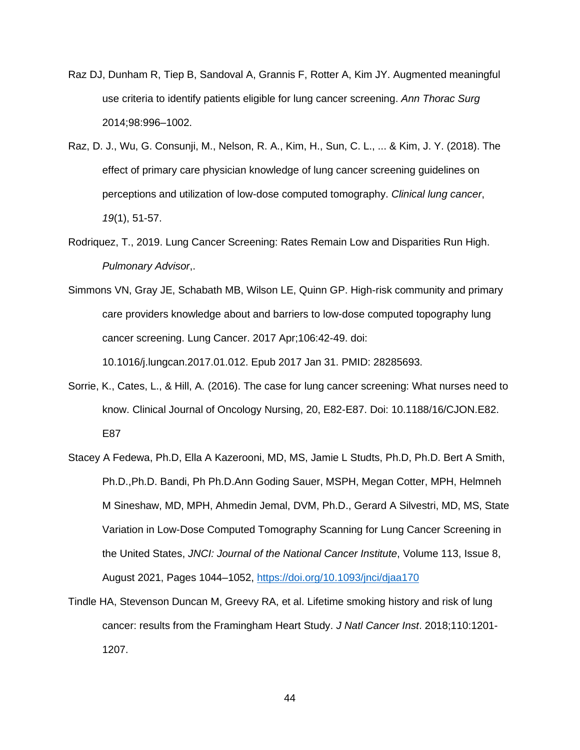- Raz DJ, Dunham R, Tiep B, Sandoval A, Grannis F, Rotter A, Kim JY. Augmented meaningful use criteria to identify patients eligible for lung cancer screening. *Ann Thorac Surg* 2014;98:996–1002.
- Raz, D. J., Wu, G. Consunji, M., Nelson, R. A., Kim, H., Sun, C. L., ... & Kim, J. Y. (2018). The effect of primary care physician knowledge of lung cancer screening guidelines on perceptions and utilization of low-dose computed tomography. *Clinical lung cancer*, *19*(1), 51-57.
- Rodriquez, T., 2019. Lung Cancer Screening: Rates Remain Low and Disparities Run High. *Pulmonary Advisor*,.
- Simmons VN, Gray JE, Schabath MB, Wilson LE, Quinn GP. High-risk community and primary care providers knowledge about and barriers to low-dose computed topography lung cancer screening. Lung Cancer. 2017 Apr;106:42-49. doi: 10.1016/j.lungcan.2017.01.012. Epub 2017 Jan 31. PMID: 28285693.
- Sorrie, K., Cates, L., & Hill, A. (2016). The case for lung cancer screening: What nurses need to know. Clinical Journal of Oncology Nursing, 20, E82-E87. Doi: 10.1188/16/CJON.E82. E87
- Stacey A Fedewa, Ph.D, Ella A Kazerooni, MD, MS, Jamie L Studts, Ph.D, Ph.D. Bert A Smith, Ph.D.,Ph.D. Bandi, Ph Ph.D.Ann Goding Sauer, MSPH, Megan Cotter, MPH, Helmneh M Sineshaw, MD, MPH, Ahmedin Jemal, DVM, Ph.D., Gerard A Silvestri, MD, MS, State Variation in Low-Dose Computed Tomography Scanning for Lung Cancer Screening in the United States, *JNCI: Journal of the National Cancer Institute*, Volume 113, Issue 8, August 2021, Pages 1044–1052,<https://doi.org/10.1093/jnci/djaa170>
- Tindle HA, Stevenson Duncan M, Greevy RA, et al. Lifetime smoking history and risk of lung cancer: results from the Framingham Heart Study. *J Natl Cancer Inst*. 2018;110:1201- 1207.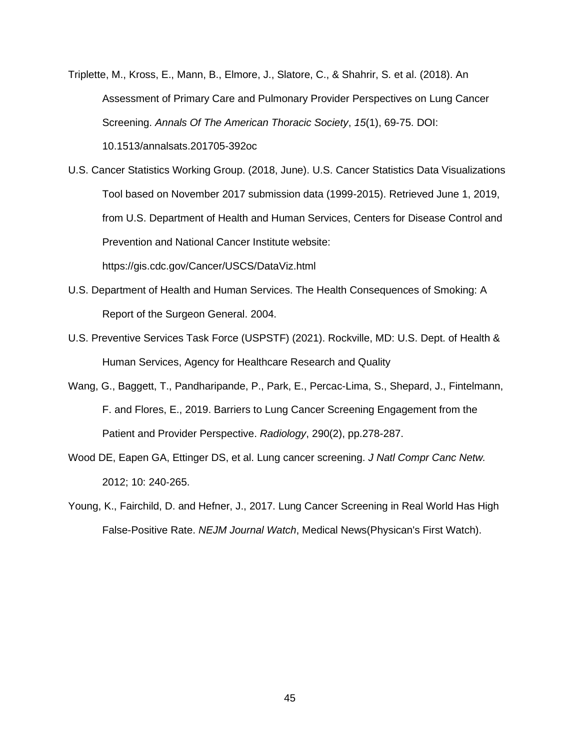Triplette, M., Kross, E., Mann, B., Elmore, J., Slatore, C., & Shahrir, S. et al. (2018). An Assessment of Primary Care and Pulmonary Provider Perspectives on Lung Cancer Screening. *Annals Of The American Thoracic Society*, *15*(1), 69-75. DOI: 10.1513/annalsats.201705-392oc

U.S. Cancer Statistics Working Group. (2018, June). U.S. Cancer Statistics Data Visualizations Tool based on November 2017 submission data (1999-2015). Retrieved June 1, 2019, from U.S. Department of Health and Human Services, Centers for Disease Control and Prevention and National Cancer Institute website: https://gis.cdc.gov/Cancer/USCS/DataViz.html

- U.S. Department of Health and Human Services. The Health Consequences of Smoking: A Report of the Surgeon General. 2004.
- U.S. Preventive Services Task Force (USPSTF) (2021). Rockville, MD: U.S. Dept. of Health & Human Services, Agency for Healthcare Research and Quality
- Wang, G., Baggett, T., Pandharipande, P., Park, E., Percac-Lima, S., Shepard, J., Fintelmann, F. and Flores, E., 2019. Barriers to Lung Cancer Screening Engagement from the Patient and Provider Perspective. *Radiology*, 290(2), pp.278-287.
- Wood DE, Eapen GA, Ettinger DS, et al. Lung cancer screening. *J Natl Compr Canc Netw.* 2012; 10: 240‐265.
- Young, K., Fairchild, D. and Hefner, J., 2017. Lung Cancer Screening in Real World Has High False-Positive Rate. *NEJM Journal Watch*, Medical News(Physican's First Watch).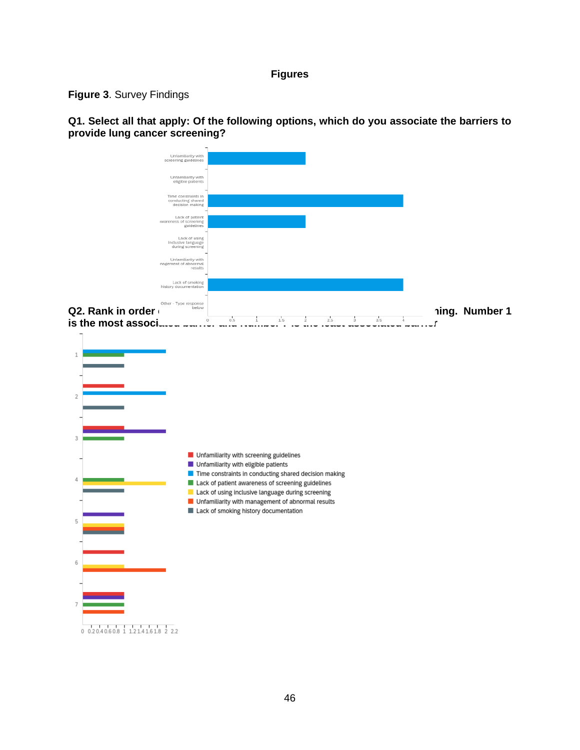## **Figures**

# **Figure 3**. Survey Findings

**Q1. Select all that apply: Of the following options, which do you associate the barriers to provide lung cancer screening?**

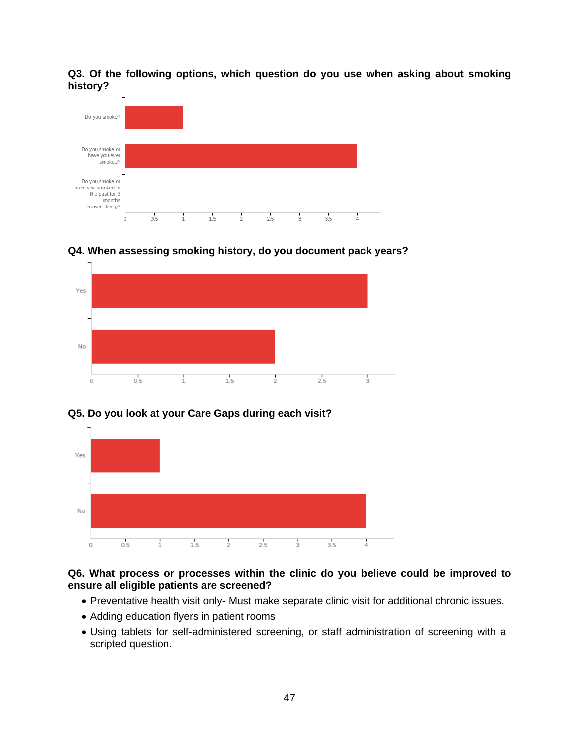**Q3. Of the following options, which question do you use when asking about smoking history?**



Yes No  $0.5$  $\frac{1}{1}$  $\frac{1}{1.5}$  $\frac{1}{2}$  $2.5$  $\frac{1}{3}$  $\circ$ 

**Q4. When assessing smoking history, do you document pack years?**

# **Q5. Do you look at your Care Gaps during each visit?**



# **Q6. What process or processes within the clinic do you believe could be improved to ensure all eligible patients are screened?**

- Preventative health visit only- Must make separate clinic visit for additional chronic issues.
- Adding education flyers in patient rooms
- Using tablets for self-administered screening, or staff administration of screening with a scripted question.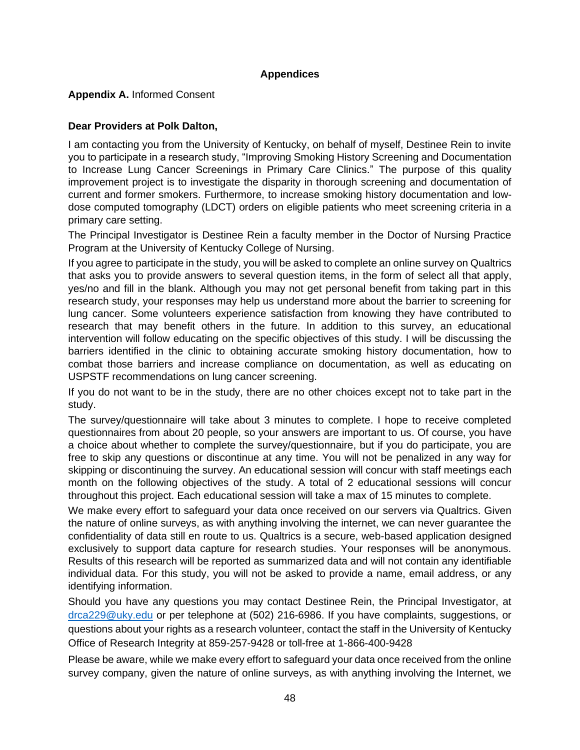# **Appendices**

**Appendix A.** Informed Consent

# **Dear Providers at Polk Dalton,**

I am contacting you from the University of Kentucky, on behalf of myself, Destinee Rein to invite you to participate in a research study, "Improving Smoking History Screening and Documentation to Increase Lung Cancer Screenings in Primary Care Clinics." The purpose of this quality improvement project is to investigate the disparity in thorough screening and documentation of current and former smokers. Furthermore, to increase smoking history documentation and lowdose computed tomography (LDCT) orders on eligible patients who meet screening criteria in a primary care setting.

The Principal Investigator is Destinee Rein a faculty member in the Doctor of Nursing Practice Program at the University of Kentucky College of Nursing.

If you agree to participate in the study, you will be asked to complete an online survey on Qualtrics that asks you to provide answers to several question items, in the form of select all that apply, yes/no and fill in the blank. Although you may not get personal benefit from taking part in this research study, your responses may help us understand more about the barrier to screening for lung cancer. Some volunteers experience satisfaction from knowing they have contributed to research that may benefit others in the future. In addition to this survey, an educational intervention will follow educating on the specific objectives of this study. I will be discussing the barriers identified in the clinic to obtaining accurate smoking history documentation, how to combat those barriers and increase compliance on documentation, as well as educating on USPSTF recommendations on lung cancer screening.

If you do not want to be in the study, there are no other choices except not to take part in the study.

The survey/questionnaire will take about 3 minutes to complete. I hope to receive completed questionnaires from about 20 people, so your answers are important to us. Of course, you have a choice about whether to complete the survey/questionnaire, but if you do participate, you are free to skip any questions or discontinue at any time. You will not be penalized in any way for skipping or discontinuing the survey. An educational session will concur with staff meetings each month on the following objectives of the study. A total of 2 educational sessions will concur throughout this project. Each educational session will take a max of 15 minutes to complete.

We make every effort to safeguard your data once received on our servers via Qualtrics. Given the nature of online surveys, as with anything involving the internet, we can never guarantee the confidentiality of data still en route to us. Qualtrics is a secure, web-based application designed exclusively to support data capture for research studies. Your responses will be anonymous. Results of this research will be reported as summarized data and will not contain any identifiable individual data. For this study, you will not be asked to provide a name, email address, or any identifying information.

Should you have any questions you may contact Destinee Rein, the Principal Investigator, at [drca229@uky.edu](mailto:drca229@uky.edu) or per telephone at (502) 216-6986. If you have complaints, suggestions, or questions about your rights as a research volunteer, contact the staff in the University of Kentucky Office of Research Integrity at 859-257-9428 or toll-free at 1-866-400-9428

Please be aware, while we make every effort to safeguard your data once received from the online survey company, given the nature of online surveys, as with anything involving the Internet, we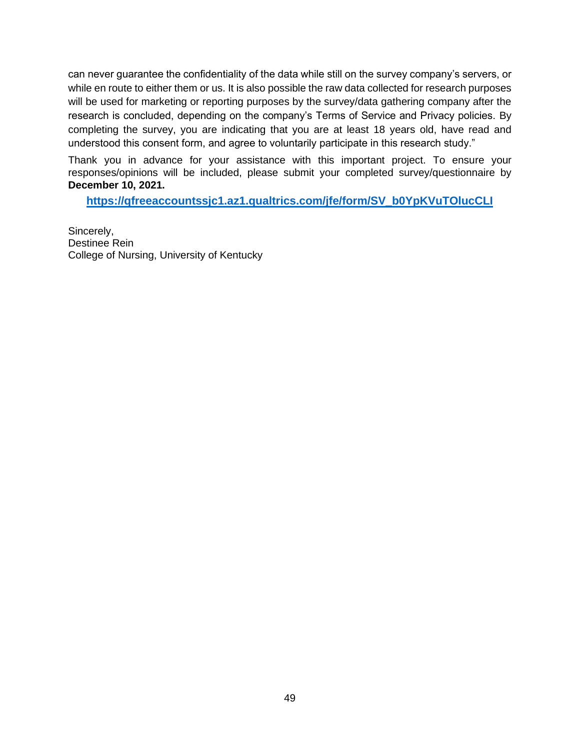can never guarantee the confidentiality of the data while still on the survey company's servers, or while en route to either them or us. It is also possible the raw data collected for research purposes will be used for marketing or reporting purposes by the survey/data gathering company after the research is concluded, depending on the company's Terms of Service and Privacy policies. By completing the survey, you are indicating that you are at least 18 years old, have read and understood this consent form, and agree to voluntarily participate in this research study."

Thank you in advance for your assistance with this important project. To ensure your responses/opinions will be included, please submit your completed survey/questionnaire by **December 10, 2021.**

**[https://qfreeaccountssjc1.az1.qualtrics.com/jfe/form/SV\\_b0YpKVuTOlucCLI](https://qfreeaccountssjc1.az1.qualtrics.com/jfe/form/SV_b0YpKVuTOlucCLI)**

Sincerely, Destinee Rein College of Nursing, University of Kentucky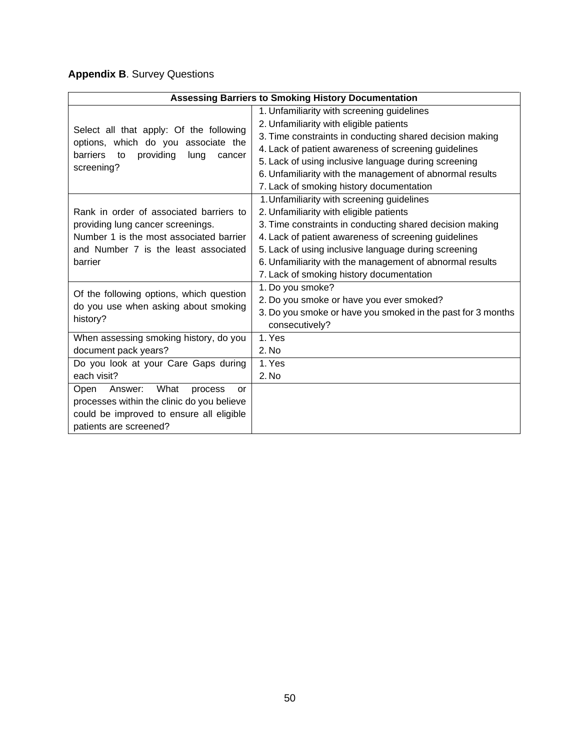# **Appendix B**. Survey Questions

|                                                                                | <b>Assessing Barriers to Smoking History Documentation</b>  |  |  |  |  |  |
|--------------------------------------------------------------------------------|-------------------------------------------------------------|--|--|--|--|--|
|                                                                                | 1. Unfamiliarity with screening guidelines                  |  |  |  |  |  |
|                                                                                | 2. Unfamiliarity with eligible patients                     |  |  |  |  |  |
| Select all that apply: Of the following<br>options, which do you associate the | 3. Time constraints in conducting shared decision making    |  |  |  |  |  |
| <b>barriers</b><br>providing<br>lung<br>to<br>cancer                           | 4. Lack of patient awareness of screening guidelines        |  |  |  |  |  |
| screening?                                                                     | 5. Lack of using inclusive language during screening        |  |  |  |  |  |
|                                                                                | 6. Unfamiliarity with the management of abnormal results    |  |  |  |  |  |
|                                                                                | 7. Lack of smoking history documentation                    |  |  |  |  |  |
|                                                                                | 1. Unfamiliarity with screening guidelines                  |  |  |  |  |  |
| Rank in order of associated barriers to                                        | 2. Unfamiliarity with eligible patients                     |  |  |  |  |  |
| providing lung cancer screenings.                                              | 3. Time constraints in conducting shared decision making    |  |  |  |  |  |
| Number 1 is the most associated barrier                                        | 4. Lack of patient awareness of screening guidelines        |  |  |  |  |  |
| and Number 7 is the least associated                                           | 5. Lack of using inclusive language during screening        |  |  |  |  |  |
| barrier                                                                        | 6. Unfamiliarity with the management of abnormal results    |  |  |  |  |  |
|                                                                                | 7. Lack of smoking history documentation                    |  |  |  |  |  |
| Of the following options, which question                                       | 1. Do you smoke?                                            |  |  |  |  |  |
| do you use when asking about smoking                                           | 2. Do you smoke or have you ever smoked?                    |  |  |  |  |  |
| history?                                                                       | 3. Do you smoke or have you smoked in the past for 3 months |  |  |  |  |  |
|                                                                                | consecutively?                                              |  |  |  |  |  |
| When assessing smoking history, do you                                         | 1. Yes                                                      |  |  |  |  |  |
| document pack years?                                                           | 2. No                                                       |  |  |  |  |  |
| Do you look at your Care Gaps during                                           | 1. Yes                                                      |  |  |  |  |  |
| each visit?                                                                    | 2. No                                                       |  |  |  |  |  |
| Open<br>What<br>Answer:<br>process<br>or                                       |                                                             |  |  |  |  |  |
| processes within the clinic do you believe                                     |                                                             |  |  |  |  |  |
| could be improved to ensure all eligible                                       |                                                             |  |  |  |  |  |
| patients are screened?                                                         |                                                             |  |  |  |  |  |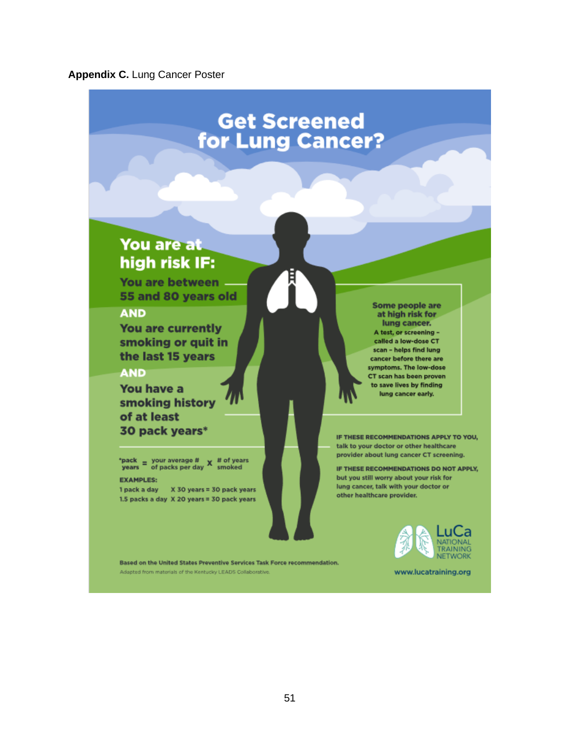